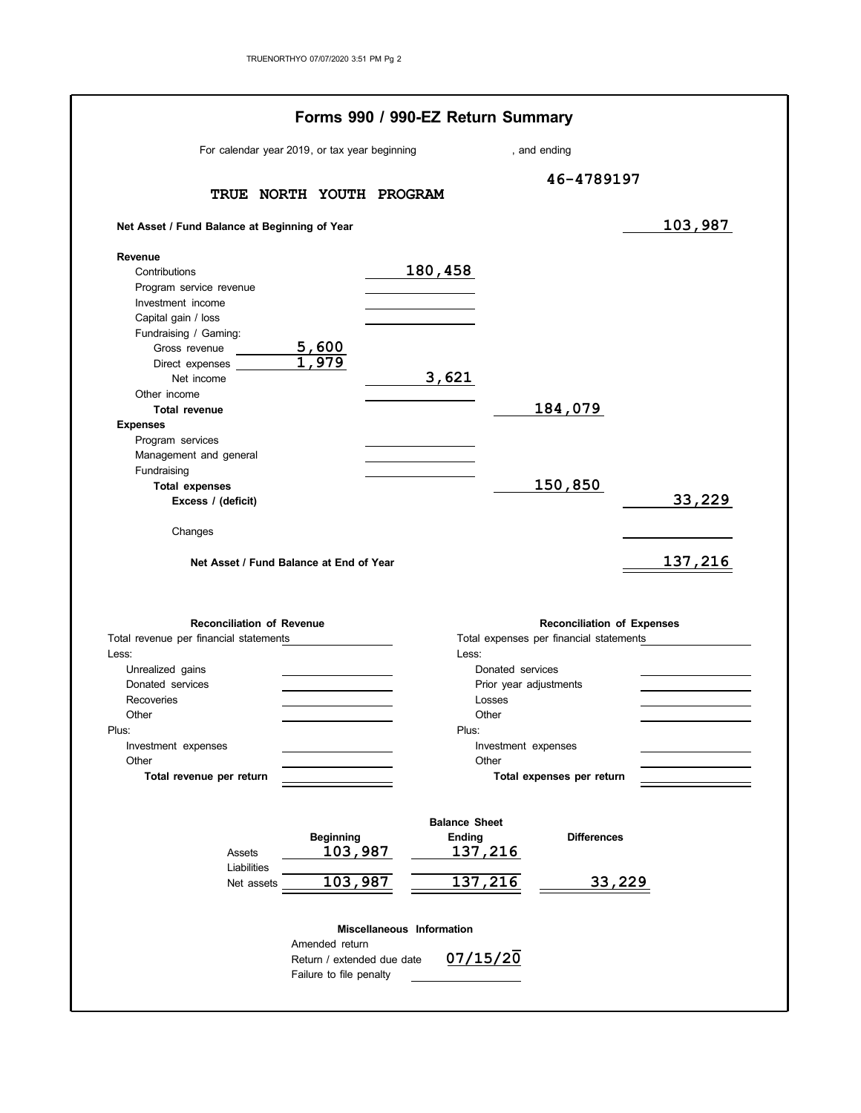| For calendar year 2019, or tax year beginning                                         |                             |                                  |                                           | , and ending                      |         |
|---------------------------------------------------------------------------------------|-----------------------------|----------------------------------|-------------------------------------------|-----------------------------------|---------|
|                                                                                       |                             |                                  |                                           | 46-4789197                        |         |
|                                                                                       | TRUE NORTH YOUTH PROGRAM    |                                  |                                           |                                   |         |
| Net Asset / Fund Balance at Beginning of Year                                         |                             |                                  |                                           |                                   | 103,987 |
| Revenue                                                                               |                             |                                  |                                           |                                   |         |
| Contributions                                                                         |                             | 180,458                          |                                           |                                   |         |
| Program service revenue                                                               |                             |                                  |                                           |                                   |         |
| Investment income                                                                     |                             |                                  |                                           |                                   |         |
| Capital gain / loss                                                                   |                             |                                  |                                           |                                   |         |
| Fundraising / Gaming:                                                                 |                             |                                  |                                           |                                   |         |
| Gross revenue<br>Direct expenses                                                      | $\frac{5,600}{1,979}$       |                                  |                                           |                                   |         |
| Net income                                                                            |                             | 3,621                            |                                           |                                   |         |
| Other income                                                                          |                             |                                  |                                           |                                   |         |
| <b>Total revenue</b>                                                                  |                             |                                  |                                           | 184,079                           |         |
| <b>Expenses</b>                                                                       |                             |                                  |                                           |                                   |         |
| Program services                                                                      |                             |                                  |                                           |                                   |         |
| Management and general                                                                |                             |                                  |                                           |                                   |         |
| Fundraising                                                                           |                             |                                  |                                           |                                   |         |
| <b>Total expenses</b>                                                                 |                             |                                  |                                           | 150,850                           |         |
| Excess / (deficit)                                                                    |                             |                                  |                                           |                                   | 33,229  |
| Changes<br>Net Asset / Fund Balance at End of Year                                    |                             |                                  |                                           |                                   | 137,216 |
|                                                                                       |                             |                                  |                                           |                                   |         |
| <b>Reconciliation of Revenue</b>                                                      |                             |                                  |                                           | <b>Reconciliation of Expenses</b> |         |
|                                                                                       |                             |                                  | Total expenses per financial statements   |                                   |         |
|                                                                                       |                             |                                  | Less:                                     |                                   |         |
| Unrealized gains                                                                      |                             |                                  | Donated services                          |                                   |         |
| Donated services<br>Recoveries                                                        |                             |                                  | Prior year adjustments                    |                                   |         |
| Other                                                                                 |                             |                                  | Losses<br>Other                           |                                   |         |
|                                                                                       |                             |                                  | Plus:                                     |                                   |         |
| Investment expenses                                                                   |                             |                                  | Investment expenses                       |                                   |         |
| Other                                                                                 |                             |                                  | Other                                     |                                   |         |
| Total revenue per return                                                              |                             |                                  |                                           | Total expenses per return         |         |
|                                                                                       |                             |                                  |                                           |                                   |         |
| Assets                                                                                | <b>Beginning</b><br>103,987 |                                  | <b>Balance Sheet</b><br>Ending<br>137,216 | <b>Differences</b>                |         |
| Total revenue per financial statements<br>Less:<br>Plus:<br>Liabilities<br>Net assets | 103,987                     |                                  | 137,216                                   | <u>33,229</u>                     |         |
|                                                                                       |                             | <b>Miscellaneous Information</b> |                                           |                                   |         |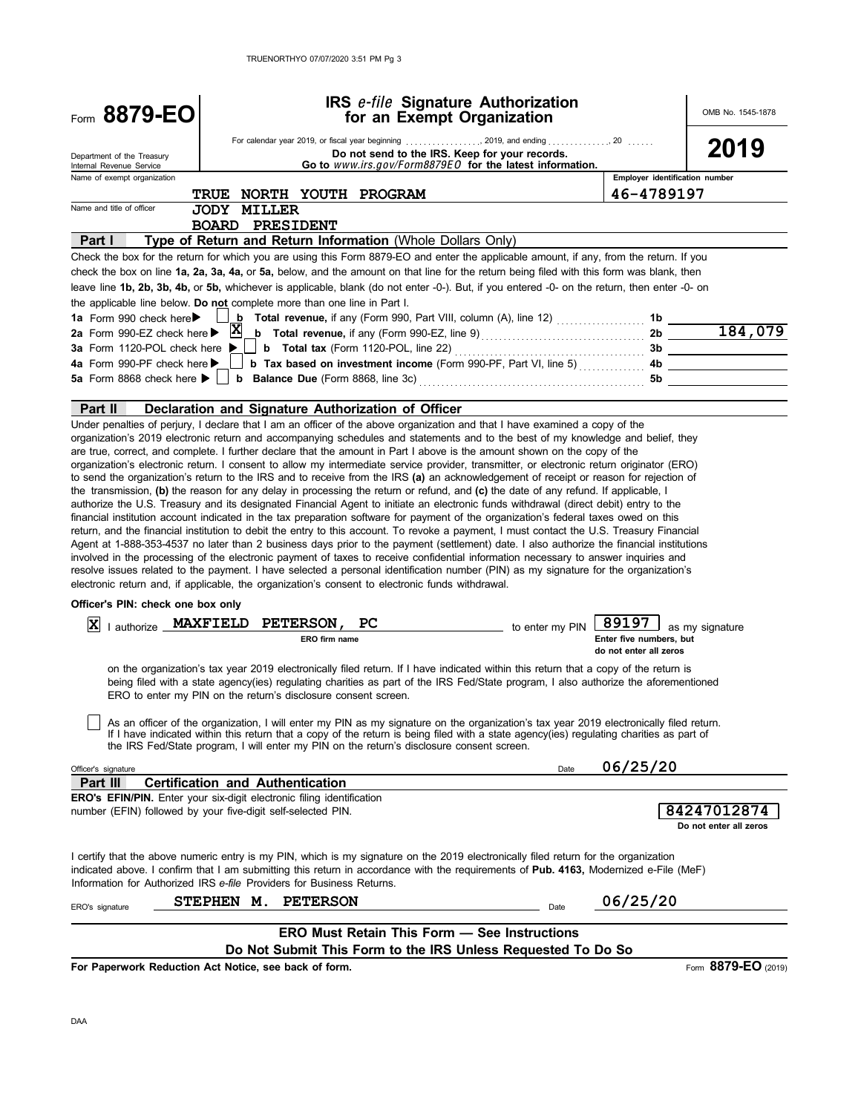| Form 8879-EO                                                                      |                        | IRS e-file Signature Authorization<br>for an Exempt Organization                                                                                                                                                                                                                                                                                                                                                                                                                                                                                                                                                                                                                                                                                                                                                                                                                                                                                                                                                                                                                                                                                                                                                                                                                                                                                                                        |                 |                                                            | OMB No. 1545-1878                     |
|-----------------------------------------------------------------------------------|------------------------|-----------------------------------------------------------------------------------------------------------------------------------------------------------------------------------------------------------------------------------------------------------------------------------------------------------------------------------------------------------------------------------------------------------------------------------------------------------------------------------------------------------------------------------------------------------------------------------------------------------------------------------------------------------------------------------------------------------------------------------------------------------------------------------------------------------------------------------------------------------------------------------------------------------------------------------------------------------------------------------------------------------------------------------------------------------------------------------------------------------------------------------------------------------------------------------------------------------------------------------------------------------------------------------------------------------------------------------------------------------------------------------------|-----------------|------------------------------------------------------------|---------------------------------------|
| Department of the Treasury<br>Internal Revenue Service                            |                        | Do not send to the IRS. Keep for your records.<br>Go to www.irs.gov/Form8879EO for the latest information.                                                                                                                                                                                                                                                                                                                                                                                                                                                                                                                                                                                                                                                                                                                                                                                                                                                                                                                                                                                                                                                                                                                                                                                                                                                                              |                 |                                                            | 2019                                  |
| Name of exempt organization                                                       |                        |                                                                                                                                                                                                                                                                                                                                                                                                                                                                                                                                                                                                                                                                                                                                                                                                                                                                                                                                                                                                                                                                                                                                                                                                                                                                                                                                                                                         |                 | Employer identification number                             |                                       |
|                                                                                   |                        | <b>TRUE NORTH YOUTH PROGRAM</b>                                                                                                                                                                                                                                                                                                                                                                                                                                                                                                                                                                                                                                                                                                                                                                                                                                                                                                                                                                                                                                                                                                                                                                                                                                                                                                                                                         |                 | 46-4789197                                                 |                                       |
| Name and title of officer                                                         | <b>JODY MILLER</b>     |                                                                                                                                                                                                                                                                                                                                                                                                                                                                                                                                                                                                                                                                                                                                                                                                                                                                                                                                                                                                                                                                                                                                                                                                                                                                                                                                                                                         |                 |                                                            |                                       |
| Part I                                                                            | <b>BOARD PRESIDENT</b> | Type of Return and Return Information (Whole Dollars Only)                                                                                                                                                                                                                                                                                                                                                                                                                                                                                                                                                                                                                                                                                                                                                                                                                                                                                                                                                                                                                                                                                                                                                                                                                                                                                                                              |                 |                                                            |                                       |
|                                                                                   |                        | Check the box for the return for which you are using this Form 8879-EO and enter the applicable amount, if any, from the return. If you                                                                                                                                                                                                                                                                                                                                                                                                                                                                                                                                                                                                                                                                                                                                                                                                                                                                                                                                                                                                                                                                                                                                                                                                                                                 |                 |                                                            |                                       |
|                                                                                   |                        | check the box on line 1a, 2a, 3a, 4a, or 5a, below, and the amount on that line for the return being filed with this form was blank, then                                                                                                                                                                                                                                                                                                                                                                                                                                                                                                                                                                                                                                                                                                                                                                                                                                                                                                                                                                                                                                                                                                                                                                                                                                               |                 |                                                            |                                       |
|                                                                                   |                        | leave line 1b, 2b, 3b, 4b, or 5b, whichever is applicable, blank (do not enter -0-). But, if you entered -0- on the return, then enter -0- on                                                                                                                                                                                                                                                                                                                                                                                                                                                                                                                                                                                                                                                                                                                                                                                                                                                                                                                                                                                                                                                                                                                                                                                                                                           |                 |                                                            |                                       |
|                                                                                   |                        | the applicable line below. Do not complete more than one line in Part I.                                                                                                                                                                                                                                                                                                                                                                                                                                                                                                                                                                                                                                                                                                                                                                                                                                                                                                                                                                                                                                                                                                                                                                                                                                                                                                                |                 |                                                            |                                       |
| 1a Form 990 check here▶                                                           |                        | $\mathbf{b}$ Total revenue, if any (Form 990, Part VIII, column (A), line 12) $\ldots$                                                                                                                                                                                                                                                                                                                                                                                                                                                                                                                                                                                                                                                                                                                                                                                                                                                                                                                                                                                                                                                                                                                                                                                                                                                                                                  |                 | $1b$ $\qquad$                                              |                                       |
| 2a Form 990-EZ check here ▶                                                       | $\mathbf{x}$           |                                                                                                                                                                                                                                                                                                                                                                                                                                                                                                                                                                                                                                                                                                                                                                                                                                                                                                                                                                                                                                                                                                                                                                                                                                                                                                                                                                                         |                 |                                                            | $2b \overline{184,079}$               |
| 3a Form 1120-POL check here $\blacktriangleright$                                 |                        |                                                                                                                                                                                                                                                                                                                                                                                                                                                                                                                                                                                                                                                                                                                                                                                                                                                                                                                                                                                                                                                                                                                                                                                                                                                                                                                                                                                         |                 |                                                            | 3b                                    |
| 4a Form 990-PF check here ▶                                                       |                        | b Tax based on investment income (Form 990-PF, Part VI, line 5)                                                                                                                                                                                                                                                                                                                                                                                                                                                                                                                                                                                                                                                                                                                                                                                                                                                                                                                                                                                                                                                                                                                                                                                                                                                                                                                         |                 |                                                            |                                       |
| 5a Form 8868 check here $\blacktriangleright$                                     |                        |                                                                                                                                                                                                                                                                                                                                                                                                                                                                                                                                                                                                                                                                                                                                                                                                                                                                                                                                                                                                                                                                                                                                                                                                                                                                                                                                                                                         |                 | 5b                                                         |                                       |
|                                                                                   |                        |                                                                                                                                                                                                                                                                                                                                                                                                                                                                                                                                                                                                                                                                                                                                                                                                                                                                                                                                                                                                                                                                                                                                                                                                                                                                                                                                                                                         |                 |                                                            |                                       |
| Part II                                                                           |                        | Declaration and Signature Authorization of Officer<br>Under penalties of perjury, I declare that I am an officer of the above organization and that I have examined a copy of the                                                                                                                                                                                                                                                                                                                                                                                                                                                                                                                                                                                                                                                                                                                                                                                                                                                                                                                                                                                                                                                                                                                                                                                                       |                 |                                                            |                                       |
|                                                                                   |                        | organization's electronic return. I consent to allow my intermediate service provider, transmitter, or electronic return originator (ERO)<br>to send the organization's return to the IRS and to receive from the IRS (a) an acknowledgement of receipt or reason for rejection of<br>the transmission, (b) the reason for any delay in processing the return or refund, and (c) the date of any refund. If applicable, I<br>authorize the U.S. Treasury and its designated Financial Agent to initiate an electronic funds withdrawal (direct debit) entry to the<br>financial institution account indicated in the tax preparation software for payment of the organization's federal taxes owed on this<br>return, and the financial institution to debit the entry to this account. To revoke a payment, I must contact the U.S. Treasury Financial<br>Agent at 1-888-353-4537 no later than 2 business days prior to the payment (settlement) date. I also authorize the financial institutions<br>involved in the processing of the electronic payment of taxes to receive confidential information necessary to answer inquiries and<br>resolve issues related to the payment. I have selected a personal identification number (PIN) as my signature for the organization's<br>electronic return and, if applicable, the organization's consent to electronic funds withdrawal. |                 |                                                            |                                       |
| Officer's PIN: check one box only                                                 |                        |                                                                                                                                                                                                                                                                                                                                                                                                                                                                                                                                                                                                                                                                                                                                                                                                                                                                                                                                                                                                                                                                                                                                                                                                                                                                                                                                                                                         |                 |                                                            |                                       |
| I authorize _ MAXFIELD<br>ΙXΙ                                                     |                        | <b>PETERSON,</b><br>PС<br>ERO firm name                                                                                                                                                                                                                                                                                                                                                                                                                                                                                                                                                                                                                                                                                                                                                                                                                                                                                                                                                                                                                                                                                                                                                                                                                                                                                                                                                 | to enter my PIN | 89197<br>Enter five numbers, but<br>do not enter all zeros | as my signature                       |
|                                                                                   |                        | on the organization's tax year 2019 electronically filed return. If I have indicated within this return that a copy of the return is<br>being filed with a state agency(ies) regulating charities as part of the IRS Fed/State program, I also authorize the aforementioned<br>ERO to enter my PIN on the return's disclosure consent screen.<br>As an officer of the organization, I will enter my PIN as my signature on the organization's tax year 2019 electronically filed return.<br>If I have indicated within this return that a copy of the return is being filed with a state agency(ies) regulating charities as part of                                                                                                                                                                                                                                                                                                                                                                                                                                                                                                                                                                                                                                                                                                                                                    |                 |                                                            |                                       |
|                                                                                   |                        | the IRS Fed/State program, I will enter my PIN on the return's disclosure consent screen.                                                                                                                                                                                                                                                                                                                                                                                                                                                                                                                                                                                                                                                                                                                                                                                                                                                                                                                                                                                                                                                                                                                                                                                                                                                                                               |                 |                                                            |                                       |
| Officer's signature                                                               |                        |                                                                                                                                                                                                                                                                                                                                                                                                                                                                                                                                                                                                                                                                                                                                                                                                                                                                                                                                                                                                                                                                                                                                                                                                                                                                                                                                                                                         | Date            | 06/25/20                                                   |                                       |
| Part III<br>ERO's EFIN/PIN. Enter your six-digit electronic filing identification |                        | <b>Certification and Authentication</b>                                                                                                                                                                                                                                                                                                                                                                                                                                                                                                                                                                                                                                                                                                                                                                                                                                                                                                                                                                                                                                                                                                                                                                                                                                                                                                                                                 |                 |                                                            |                                       |
| number (EFIN) followed by your five-digit self-selected PIN.                      |                        |                                                                                                                                                                                                                                                                                                                                                                                                                                                                                                                                                                                                                                                                                                                                                                                                                                                                                                                                                                                                                                                                                                                                                                                                                                                                                                                                                                                         |                 |                                                            | 84247012874<br>Do not enter all zeros |
| Information for Authorized IRS e-file Providers for Business Returns.             |                        | I certify that the above numeric entry is my PIN, which is my signature on the 2019 electronically filed return for the organization<br>indicated above. I confirm that I am submitting this return in accordance with the requirements of Pub. 4163, Modernized e-File (MeF)                                                                                                                                                                                                                                                                                                                                                                                                                                                                                                                                                                                                                                                                                                                                                                                                                                                                                                                                                                                                                                                                                                           |                 |                                                            |                                       |
| ERO's signature                                                                   | STEPHEN M.             | <b>PETERSON</b>                                                                                                                                                                                                                                                                                                                                                                                                                                                                                                                                                                                                                                                                                                                                                                                                                                                                                                                                                                                                                                                                                                                                                                                                                                                                                                                                                                         | Date            | 06/25/20                                                   |                                       |
|                                                                                   |                        |                                                                                                                                                                                                                                                                                                                                                                                                                                                                                                                                                                                                                                                                                                                                                                                                                                                                                                                                                                                                                                                                                                                                                                                                                                                                                                                                                                                         |                 |                                                            |                                       |
|                                                                                   |                        | <b>ERO Must Retain This Form - See Instructions</b>                                                                                                                                                                                                                                                                                                                                                                                                                                                                                                                                                                                                                                                                                                                                                                                                                                                                                                                                                                                                                                                                                                                                                                                                                                                                                                                                     |                 |                                                            |                                       |
|                                                                                   |                        | Do Not Submit This Form to the IRS Unless Requested To Do So                                                                                                                                                                                                                                                                                                                                                                                                                                                                                                                                                                                                                                                                                                                                                                                                                                                                                                                                                                                                                                                                                                                                                                                                                                                                                                                            |                 |                                                            |                                       |
| For Paperwork Reduction Act Notice, see back of form.                             |                        |                                                                                                                                                                                                                                                                                                                                                                                                                                                                                                                                                                                                                                                                                                                                                                                                                                                                                                                                                                                                                                                                                                                                                                                                                                                                                                                                                                                         |                 |                                                            | Form 8879-EO (2019)                   |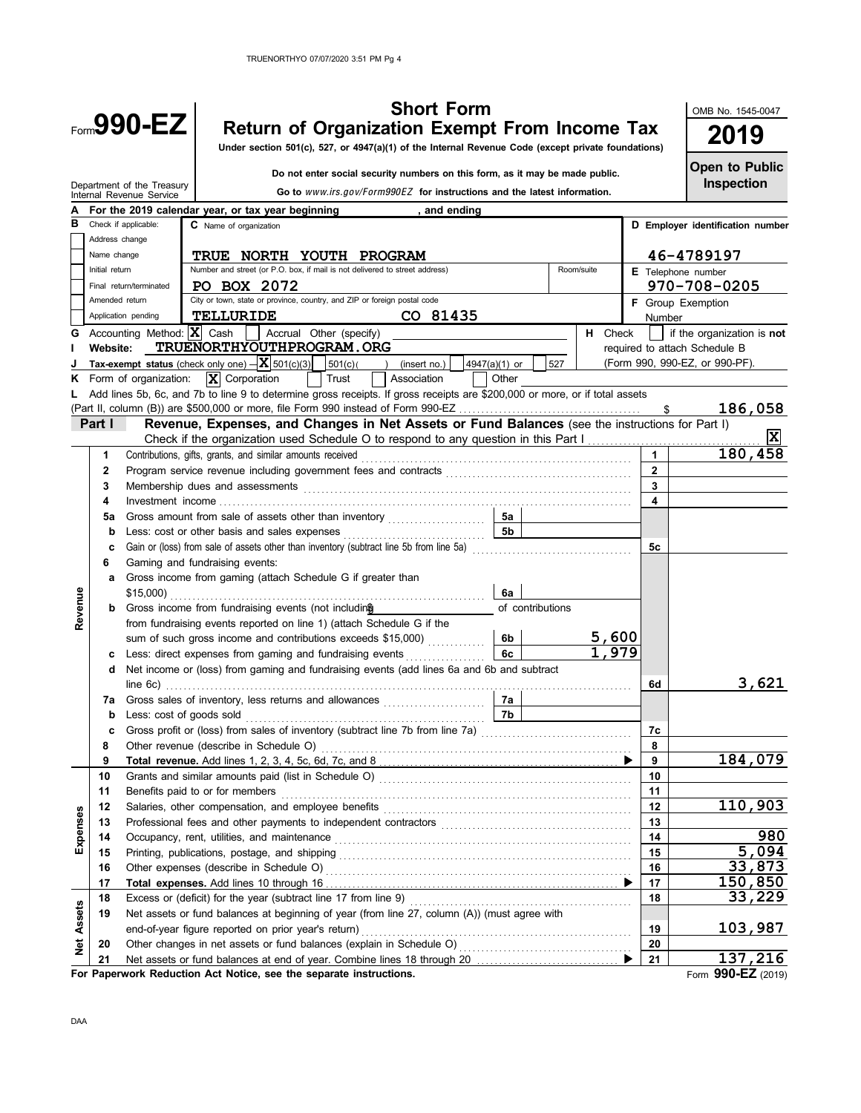## **990-EZ** Return of Organization Exempt From Income Tax **2019 Short Form**

**Under section 501(c), 527, or 4947(a)(1) of the Internal Revenue Code (except private foundations)**

 **Do not enter social security numbers on this form, as it may be made public.**

**Inspection Open to Public**

OMB No. 1545-0047

|                   |                 | Department of the Treasury<br>Internal Revenue Service                             | Go to www.irs.gov/Form990EZ for instructions and the latest information.                                                    |                    |                               |              | Inspection                     |  |  |  |  |
|-------------------|-----------------|------------------------------------------------------------------------------------|-----------------------------------------------------------------------------------------------------------------------------|--------------------|-------------------------------|--------------|--------------------------------|--|--|--|--|
|                   |                 | For the 2019 calendar year, or tax year beginning                                  |                                                                                                                             | , and ending       |                               |              |                                |  |  |  |  |
| в                 |                 | Check if applicable:<br>C Name of organization<br>D Employer identification number |                                                                                                                             |                    |                               |              |                                |  |  |  |  |
|                   | Address change  |                                                                                    |                                                                                                                             |                    |                               |              |                                |  |  |  |  |
|                   | Name change     | <b>TRUE NORTH YOUTH PROGRAM</b>                                                    |                                                                                                                             | 46-4789197         |                               |              |                                |  |  |  |  |
|                   | Initial return  | Number and street (or P.O. box, if mail is not delivered to street address)        |                                                                                                                             | E Telephone number |                               |              |                                |  |  |  |  |
|                   |                 | PO BOX 2072<br>Final return/terminated                                             |                                                                                                                             |                    |                               |              | 970-708-0205                   |  |  |  |  |
|                   | Amended return  |                                                                                    | City or town, state or province, country, and ZIP or foreign postal code                                                    |                    |                               |              | F Group Exemption              |  |  |  |  |
|                   |                 | Application pending<br>TELLURIDE                                                   | CO 81435                                                                                                                    |                    |                               | Number       |                                |  |  |  |  |
| G                 |                 | Accounting Method: $ \mathbf{X} $ Cash     Accrual Other (specify)                 |                                                                                                                             |                    | H Check                       |              | if the organization is not     |  |  |  |  |
| L                 | <b>Website:</b> | TRUENORTHYOUTHPROGRAM.ORG                                                          |                                                                                                                             |                    |                               |              | required to attach Schedule B  |  |  |  |  |
|                   |                 | Tax-exempt status (check only one) $- \mathbf{X} $ 501(c)(3) 501(c)( )             | (insert no.)                                                                                                                | 4947(a)(1) or      | 527                           |              | (Form 990, 990-EZ, or 990-PF). |  |  |  |  |
| Κ                 |                 | $\overline{\mathbf{X}}$ Corporation<br>Form of organization:                       | Trust<br>Association                                                                                                        | Other              |                               |              |                                |  |  |  |  |
| L                 |                 |                                                                                    | Add lines 5b, 6c, and 7b to line 9 to determine gross receipts. If gross receipts are \$200,000 or more, or if total assets |                    |                               |              |                                |  |  |  |  |
|                   |                 |                                                                                    |                                                                                                                             |                    |                               | \$           | 186,058                        |  |  |  |  |
|                   | Part I          |                                                                                    | Revenue, Expenses, and Changes in Net Assets or Fund Balances (see the instructions for Part I)                             |                    |                               |              |                                |  |  |  |  |
|                   |                 |                                                                                    | Check if the organization used Schedule O to respond to any question in this Part I                                         |                    |                               |              | ΙX                             |  |  |  |  |
|                   | 1               | Contributions, gifts, grants, and similar amounts received                         |                                                                                                                             |                    |                               |              | 180,458                        |  |  |  |  |
|                   | 2               |                                                                                    |                                                                                                                             |                    |                               | $\mathbf{2}$ |                                |  |  |  |  |
|                   | 3               |                                                                                    |                                                                                                                             |                    |                               | 3            |                                |  |  |  |  |
|                   | 4               |                                                                                    |                                                                                                                             |                    |                               | 4            |                                |  |  |  |  |
|                   |                 |                                                                                    |                                                                                                                             | 5a                 |                               |              |                                |  |  |  |  |
|                   | 5a              |                                                                                    | Gross amount from sale of assets other than inventory                                                                       | 5b                 |                               |              |                                |  |  |  |  |
|                   | b               | Less: cost or other basis and sales expenses                                       | Gain or (loss) from sale of assets other than inventory (subtract line 5b from line 5a)                                     |                    |                               |              |                                |  |  |  |  |
|                   | c               |                                                                                    | 5с                                                                                                                          |                    |                               |              |                                |  |  |  |  |
|                   | 6               | Gaming and fundraising events:                                                     |                                                                                                                             |                    |                               |              |                                |  |  |  |  |
|                   | а               | Gross income from gaming (attach Schedule G if greater than                        |                                                                                                                             |                    |                               |              |                                |  |  |  |  |
| Revenue           |                 |                                                                                    |                                                                                                                             | 6a                 |                               |              |                                |  |  |  |  |
|                   | b               | Gross income from fundraising events (not including                                |                                                                                                                             | of contributions   |                               |              |                                |  |  |  |  |
|                   |                 |                                                                                    | from fundraising events reported on line 1) (attach Schedule G if the                                                       |                    |                               |              |                                |  |  |  |  |
|                   |                 |                                                                                    | sum of such gross income and contributions exceeds \$15,000)                                                                | 6b.                | 5,600<br>$\overline{1}$ , 979 |              |                                |  |  |  |  |
|                   | с               |                                                                                    | Less: direct expenses from gaming and fundraising events                                                                    | 6с                 |                               |              |                                |  |  |  |  |
|                   | d               |                                                                                    | Net income or (loss) from gaming and fundraising events (add lines 6a and 6b and subtract                                   |                    |                               |              |                                |  |  |  |  |
|                   |                 |                                                                                    |                                                                                                                             |                    |                               | 6d           | 3,621                          |  |  |  |  |
|                   | 7a              |                                                                                    |                                                                                                                             | 7a                 |                               |              |                                |  |  |  |  |
|                   | b               | Less: cost of goods sold                                                           |                                                                                                                             | 7b                 |                               |              |                                |  |  |  |  |
|                   | c               |                                                                                    | Gross profit or (loss) from sales of inventory (subtract line 7b from line 7a)                                              |                    |                               | 7c           |                                |  |  |  |  |
|                   | 8               |                                                                                    |                                                                                                                             |                    |                               | 8            |                                |  |  |  |  |
|                   | 9               |                                                                                    |                                                                                                                             |                    |                               | 9            | 184,079                        |  |  |  |  |
|                   | 10              |                                                                                    |                                                                                                                             |                    |                               | 10           |                                |  |  |  |  |
|                   | 11              |                                                                                    |                                                                                                                             |                    |                               | 11           |                                |  |  |  |  |
|                   | 12              | Salaries, other compensation, and employee benefits                                |                                                                                                                             |                    |                               | 12           | 110,903                        |  |  |  |  |
|                   | 13              |                                                                                    |                                                                                                                             |                    |                               | 13           |                                |  |  |  |  |
| Expenses          | 14              |                                                                                    | Occupancy, rent, utilities, and maintenance contained and according term of the main set of the main set of the             |                    |                               | 14           | 980                            |  |  |  |  |
|                   | 15              |                                                                                    | 15                                                                                                                          | 5,094              |                               |              |                                |  |  |  |  |
|                   | 16              | Other expenses (describe in Schedule O)                                            |                                                                                                                             |                    |                               | 16           | 33,873                         |  |  |  |  |
|                   | 17              | Total expenses. Add lines 10 through 16                                            |                                                                                                                             |                    |                               | 17           | 150,850                        |  |  |  |  |
|                   | 18              |                                                                                    |                                                                                                                             |                    |                               | 18           | 33,229                         |  |  |  |  |
| <b>Net Assets</b> | 19              |                                                                                    | Net assets or fund balances at beginning of year (from line 27, column (A)) (must agree with                                |                    |                               |              |                                |  |  |  |  |
|                   |                 | end-of-year figure reported on prior year's return)                                |                                                                                                                             |                    |                               | 19           | 103,987                        |  |  |  |  |
|                   | 20              |                                                                                    |                                                                                                                             |                    |                               | 20           |                                |  |  |  |  |
|                   | 21              |                                                                                    |                                                                                                                             |                    |                               | 21           | 137,216                        |  |  |  |  |

**For Paperwork Reduction Act Notice, see the separate instructions.**

Form **990-EZ** (2019)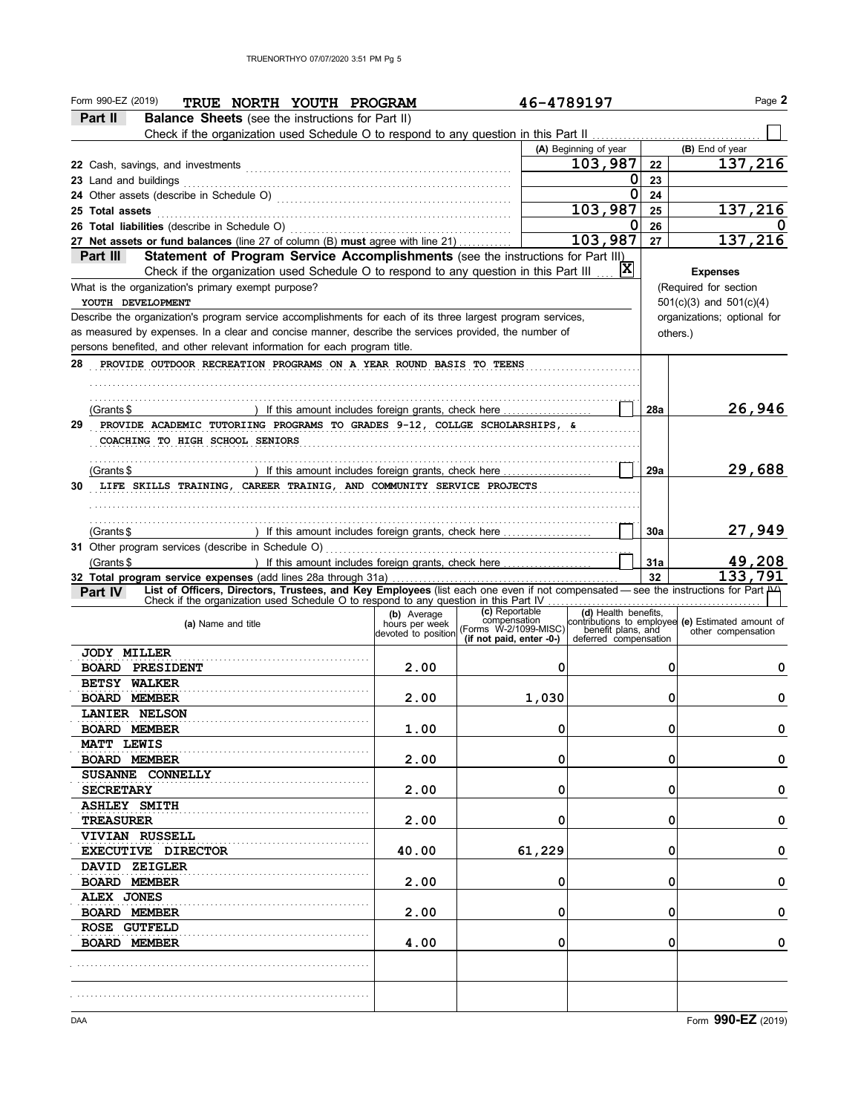| Part II<br><b>Balance Sheets</b> (see the instructions for Part II)<br>Check if the organization used Schedule O to respond to any question in this Part II.<br>(B) End of year<br>(A) Beginning of year<br>137,216<br>103,987<br>22<br>0<br>23<br>23 Land and buildings<br>0<br>24<br>103,987<br>137,216<br>25<br>26<br>O<br>103,987<br>137,216<br>27 Net assets or fund balances (line 27 of column (B) must agree with line 21)<br>27<br>Statement of Program Service Accomplishments (see the instructions for Part III)<br>Part III<br> X <br>Check if the organization used Schedule O to respond to any question in this Part III<br><b>Expenses</b><br>What is the organization's primary exempt purpose?<br>(Required for section<br>$501(c)(3)$ and $501(c)(4)$<br>YOUTH DEVELOPMENT<br>Describe the organization's program service accomplishments for each of its three largest program services,<br>organizations; optional for<br>as measured by expenses. In a clear and concise manner, describe the services provided, the number of<br>others.)<br>persons benefited, and other relevant information for each program title.<br>28<br>PROVIDE OUTDOOR RECREATION PROGRAMS ON A YEAR ROUND BASIS TO TEENS<br>26,946<br>28a<br>) If this amount includes foreign grants, check here<br>(Grants \$<br>29<br>PROVIDE ACADEMIC TUTORIING PROGRAMS TO GRADES 9-12, COLLGE SCHOLARSHIPS, &<br>COACHING TO HIGH SCHOOL SENIORS<br>29,688<br>29a<br>(Grants \$<br>LIFE SKILLS TRAINING, CAREER TRAINIG, AND COMMUNITY SERVICE PROJECTS<br>27,949<br>30a<br>) If this amount includes foreign grants, check here<br>(Grants \$<br>49,208<br>(Grants \$<br>) If this amount includes foreign grants, check here $\ldots$<br>31a<br>133,791<br>32<br>32 Total program service expenses (add lines 28a through 31a)<br>List of Officers, Directors, Trustees, and Key Employees (list each one even if not compensated - see the instructions for Part A<br><b>Part IV</b><br>Check if the organization used Schedule O to respond to any question in this Part IV<br>(c) Reportable<br>(d) Health benefits,<br>contributions to employee (e) Estimated amount of<br>(b) Average<br>compensation<br>(a) Name and title<br>devoted to position (Forms W-2/1099-MISC)<br>benefit plans, and<br>other compensation<br>(if not paid, enter -0-)<br>deferred compensation<br><b>JODY MILLER</b><br>2.00<br>0<br>0<br><b>BOARD PRESIDENT</b><br>0<br><b>BETSY WALKER</b><br><b>BOARD MEMBER</b><br>0<br>2.00<br>1,030<br>0<br><b>LANIER NELSON</b><br>1.00<br>0<br>0<br>0<br><b>BOARD MEMBER</b><br><b>MATT LEWIS</b><br>0<br>0<br>2.00<br>0<br><b>BOARD MEMBER</b><br>SUSANNE CONNELLY<br>0<br>0<br>2.00<br>0<br><b>SECRETARY</b><br><b>ASHLEY SMITH</b><br>2.00<br>0<br>0<br>0<br><b>TREASURER</b><br><b>VIVIAN RUSSELL</b><br>40.00<br>61,229<br>0<br>0<br>EXECUTIVE DIRECTOR<br>DAVID ZEIGLER<br>0<br>0<br><b>BOARD MEMBER</b><br>0<br>2.00<br>ALEX JONES<br>2.00<br>0<br>0<br><b>BOARD MEMBER</b><br>0<br>ROSE GUTFELD<br>0<br>0<br>0<br><b>BOARD MEMBER</b><br>4.00 | Form 990-EZ (2019)<br>TRUE NORTH YOUTH PROGRAM     | 46-4789197 |  | Page 2 |
|--------------------------------------------------------------------------------------------------------------------------------------------------------------------------------------------------------------------------------------------------------------------------------------------------------------------------------------------------------------------------------------------------------------------------------------------------------------------------------------------------------------------------------------------------------------------------------------------------------------------------------------------------------------------------------------------------------------------------------------------------------------------------------------------------------------------------------------------------------------------------------------------------------------------------------------------------------------------------------------------------------------------------------------------------------------------------------------------------------------------------------------------------------------------------------------------------------------------------------------------------------------------------------------------------------------------------------------------------------------------------------------------------------------------------------------------------------------------------------------------------------------------------------------------------------------------------------------------------------------------------------------------------------------------------------------------------------------------------------------------------------------------------------------------------------------------------------------------------------------------------------------------------------------------------------------------------------------------------------------------------------------------------------------------------------------------------------------------------------------------------------------------------------------------------------------------------------------------------------------------------------------------------------------------------------------------------------------------------------------------------------------------------------------------------------------------------------------------------------------------------------------------------------------------------------------------------------------------------------------------------------------------------------------------------------------------------------------------------------------------------------------------------------------------------------------------------------------------------------------------------------------------------------------------------------------------------------------------------------------------------------------------------------------------------------------------------|----------------------------------------------------|------------|--|--------|
|                                                                                                                                                                                                                                                                                                                                                                                                                                                                                                                                                                                                                                                                                                                                                                                                                                                                                                                                                                                                                                                                                                                                                                                                                                                                                                                                                                                                                                                                                                                                                                                                                                                                                                                                                                                                                                                                                                                                                                                                                                                                                                                                                                                                                                                                                                                                                                                                                                                                                                                                                                                                                                                                                                                                                                                                                                                                                                                                                                                                                                                                          |                                                    |            |  |        |
|                                                                                                                                                                                                                                                                                                                                                                                                                                                                                                                                                                                                                                                                                                                                                                                                                                                                                                                                                                                                                                                                                                                                                                                                                                                                                                                                                                                                                                                                                                                                                                                                                                                                                                                                                                                                                                                                                                                                                                                                                                                                                                                                                                                                                                                                                                                                                                                                                                                                                                                                                                                                                                                                                                                                                                                                                                                                                                                                                                                                                                                                          |                                                    |            |  |        |
|                                                                                                                                                                                                                                                                                                                                                                                                                                                                                                                                                                                                                                                                                                                                                                                                                                                                                                                                                                                                                                                                                                                                                                                                                                                                                                                                                                                                                                                                                                                                                                                                                                                                                                                                                                                                                                                                                                                                                                                                                                                                                                                                                                                                                                                                                                                                                                                                                                                                                                                                                                                                                                                                                                                                                                                                                                                                                                                                                                                                                                                                          |                                                    |            |  |        |
|                                                                                                                                                                                                                                                                                                                                                                                                                                                                                                                                                                                                                                                                                                                                                                                                                                                                                                                                                                                                                                                                                                                                                                                                                                                                                                                                                                                                                                                                                                                                                                                                                                                                                                                                                                                                                                                                                                                                                                                                                                                                                                                                                                                                                                                                                                                                                                                                                                                                                                                                                                                                                                                                                                                                                                                                                                                                                                                                                                                                                                                                          |                                                    |            |  |        |
|                                                                                                                                                                                                                                                                                                                                                                                                                                                                                                                                                                                                                                                                                                                                                                                                                                                                                                                                                                                                                                                                                                                                                                                                                                                                                                                                                                                                                                                                                                                                                                                                                                                                                                                                                                                                                                                                                                                                                                                                                                                                                                                                                                                                                                                                                                                                                                                                                                                                                                                                                                                                                                                                                                                                                                                                                                                                                                                                                                                                                                                                          |                                                    |            |  |        |
|                                                                                                                                                                                                                                                                                                                                                                                                                                                                                                                                                                                                                                                                                                                                                                                                                                                                                                                                                                                                                                                                                                                                                                                                                                                                                                                                                                                                                                                                                                                                                                                                                                                                                                                                                                                                                                                                                                                                                                                                                                                                                                                                                                                                                                                                                                                                                                                                                                                                                                                                                                                                                                                                                                                                                                                                                                                                                                                                                                                                                                                                          |                                                    |            |  |        |
|                                                                                                                                                                                                                                                                                                                                                                                                                                                                                                                                                                                                                                                                                                                                                                                                                                                                                                                                                                                                                                                                                                                                                                                                                                                                                                                                                                                                                                                                                                                                                                                                                                                                                                                                                                                                                                                                                                                                                                                                                                                                                                                                                                                                                                                                                                                                                                                                                                                                                                                                                                                                                                                                                                                                                                                                                                                                                                                                                                                                                                                                          | 25 Total assets                                    |            |  |        |
|                                                                                                                                                                                                                                                                                                                                                                                                                                                                                                                                                                                                                                                                                                                                                                                                                                                                                                                                                                                                                                                                                                                                                                                                                                                                                                                                                                                                                                                                                                                                                                                                                                                                                                                                                                                                                                                                                                                                                                                                                                                                                                                                                                                                                                                                                                                                                                                                                                                                                                                                                                                                                                                                                                                                                                                                                                                                                                                                                                                                                                                                          |                                                    |            |  |        |
|                                                                                                                                                                                                                                                                                                                                                                                                                                                                                                                                                                                                                                                                                                                                                                                                                                                                                                                                                                                                                                                                                                                                                                                                                                                                                                                                                                                                                                                                                                                                                                                                                                                                                                                                                                                                                                                                                                                                                                                                                                                                                                                                                                                                                                                                                                                                                                                                                                                                                                                                                                                                                                                                                                                                                                                                                                                                                                                                                                                                                                                                          |                                                    |            |  |        |
|                                                                                                                                                                                                                                                                                                                                                                                                                                                                                                                                                                                                                                                                                                                                                                                                                                                                                                                                                                                                                                                                                                                                                                                                                                                                                                                                                                                                                                                                                                                                                                                                                                                                                                                                                                                                                                                                                                                                                                                                                                                                                                                                                                                                                                                                                                                                                                                                                                                                                                                                                                                                                                                                                                                                                                                                                                                                                                                                                                                                                                                                          |                                                    |            |  |        |
|                                                                                                                                                                                                                                                                                                                                                                                                                                                                                                                                                                                                                                                                                                                                                                                                                                                                                                                                                                                                                                                                                                                                                                                                                                                                                                                                                                                                                                                                                                                                                                                                                                                                                                                                                                                                                                                                                                                                                                                                                                                                                                                                                                                                                                                                                                                                                                                                                                                                                                                                                                                                                                                                                                                                                                                                                                                                                                                                                                                                                                                                          |                                                    |            |  |        |
|                                                                                                                                                                                                                                                                                                                                                                                                                                                                                                                                                                                                                                                                                                                                                                                                                                                                                                                                                                                                                                                                                                                                                                                                                                                                                                                                                                                                                                                                                                                                                                                                                                                                                                                                                                                                                                                                                                                                                                                                                                                                                                                                                                                                                                                                                                                                                                                                                                                                                                                                                                                                                                                                                                                                                                                                                                                                                                                                                                                                                                                                          |                                                    |            |  |        |
|                                                                                                                                                                                                                                                                                                                                                                                                                                                                                                                                                                                                                                                                                                                                                                                                                                                                                                                                                                                                                                                                                                                                                                                                                                                                                                                                                                                                                                                                                                                                                                                                                                                                                                                                                                                                                                                                                                                                                                                                                                                                                                                                                                                                                                                                                                                                                                                                                                                                                                                                                                                                                                                                                                                                                                                                                                                                                                                                                                                                                                                                          |                                                    |            |  |        |
|                                                                                                                                                                                                                                                                                                                                                                                                                                                                                                                                                                                                                                                                                                                                                                                                                                                                                                                                                                                                                                                                                                                                                                                                                                                                                                                                                                                                                                                                                                                                                                                                                                                                                                                                                                                                                                                                                                                                                                                                                                                                                                                                                                                                                                                                                                                                                                                                                                                                                                                                                                                                                                                                                                                                                                                                                                                                                                                                                                                                                                                                          |                                                    |            |  |        |
|                                                                                                                                                                                                                                                                                                                                                                                                                                                                                                                                                                                                                                                                                                                                                                                                                                                                                                                                                                                                                                                                                                                                                                                                                                                                                                                                                                                                                                                                                                                                                                                                                                                                                                                                                                                                                                                                                                                                                                                                                                                                                                                                                                                                                                                                                                                                                                                                                                                                                                                                                                                                                                                                                                                                                                                                                                                                                                                                                                                                                                                                          |                                                    |            |  |        |
|                                                                                                                                                                                                                                                                                                                                                                                                                                                                                                                                                                                                                                                                                                                                                                                                                                                                                                                                                                                                                                                                                                                                                                                                                                                                                                                                                                                                                                                                                                                                                                                                                                                                                                                                                                                                                                                                                                                                                                                                                                                                                                                                                                                                                                                                                                                                                                                                                                                                                                                                                                                                                                                                                                                                                                                                                                                                                                                                                                                                                                                                          |                                                    |            |  |        |
|                                                                                                                                                                                                                                                                                                                                                                                                                                                                                                                                                                                                                                                                                                                                                                                                                                                                                                                                                                                                                                                                                                                                                                                                                                                                                                                                                                                                                                                                                                                                                                                                                                                                                                                                                                                                                                                                                                                                                                                                                                                                                                                                                                                                                                                                                                                                                                                                                                                                                                                                                                                                                                                                                                                                                                                                                                                                                                                                                                                                                                                                          |                                                    |            |  |        |
|                                                                                                                                                                                                                                                                                                                                                                                                                                                                                                                                                                                                                                                                                                                                                                                                                                                                                                                                                                                                                                                                                                                                                                                                                                                                                                                                                                                                                                                                                                                                                                                                                                                                                                                                                                                                                                                                                                                                                                                                                                                                                                                                                                                                                                                                                                                                                                                                                                                                                                                                                                                                                                                                                                                                                                                                                                                                                                                                                                                                                                                                          |                                                    |            |  |        |
|                                                                                                                                                                                                                                                                                                                                                                                                                                                                                                                                                                                                                                                                                                                                                                                                                                                                                                                                                                                                                                                                                                                                                                                                                                                                                                                                                                                                                                                                                                                                                                                                                                                                                                                                                                                                                                                                                                                                                                                                                                                                                                                                                                                                                                                                                                                                                                                                                                                                                                                                                                                                                                                                                                                                                                                                                                                                                                                                                                                                                                                                          |                                                    |            |  |        |
|                                                                                                                                                                                                                                                                                                                                                                                                                                                                                                                                                                                                                                                                                                                                                                                                                                                                                                                                                                                                                                                                                                                                                                                                                                                                                                                                                                                                                                                                                                                                                                                                                                                                                                                                                                                                                                                                                                                                                                                                                                                                                                                                                                                                                                                                                                                                                                                                                                                                                                                                                                                                                                                                                                                                                                                                                                                                                                                                                                                                                                                                          |                                                    |            |  |        |
|                                                                                                                                                                                                                                                                                                                                                                                                                                                                                                                                                                                                                                                                                                                                                                                                                                                                                                                                                                                                                                                                                                                                                                                                                                                                                                                                                                                                                                                                                                                                                                                                                                                                                                                                                                                                                                                                                                                                                                                                                                                                                                                                                                                                                                                                                                                                                                                                                                                                                                                                                                                                                                                                                                                                                                                                                                                                                                                                                                                                                                                                          |                                                    |            |  |        |
|                                                                                                                                                                                                                                                                                                                                                                                                                                                                                                                                                                                                                                                                                                                                                                                                                                                                                                                                                                                                                                                                                                                                                                                                                                                                                                                                                                                                                                                                                                                                                                                                                                                                                                                                                                                                                                                                                                                                                                                                                                                                                                                                                                                                                                                                                                                                                                                                                                                                                                                                                                                                                                                                                                                                                                                                                                                                                                                                                                                                                                                                          |                                                    |            |  |        |
|                                                                                                                                                                                                                                                                                                                                                                                                                                                                                                                                                                                                                                                                                                                                                                                                                                                                                                                                                                                                                                                                                                                                                                                                                                                                                                                                                                                                                                                                                                                                                                                                                                                                                                                                                                                                                                                                                                                                                                                                                                                                                                                                                                                                                                                                                                                                                                                                                                                                                                                                                                                                                                                                                                                                                                                                                                                                                                                                                                                                                                                                          |                                                    |            |  |        |
|                                                                                                                                                                                                                                                                                                                                                                                                                                                                                                                                                                                                                                                                                                                                                                                                                                                                                                                                                                                                                                                                                                                                                                                                                                                                                                                                                                                                                                                                                                                                                                                                                                                                                                                                                                                                                                                                                                                                                                                                                                                                                                                                                                                                                                                                                                                                                                                                                                                                                                                                                                                                                                                                                                                                                                                                                                                                                                                                                                                                                                                                          |                                                    |            |  |        |
|                                                                                                                                                                                                                                                                                                                                                                                                                                                                                                                                                                                                                                                                                                                                                                                                                                                                                                                                                                                                                                                                                                                                                                                                                                                                                                                                                                                                                                                                                                                                                                                                                                                                                                                                                                                                                                                                                                                                                                                                                                                                                                                                                                                                                                                                                                                                                                                                                                                                                                                                                                                                                                                                                                                                                                                                                                                                                                                                                                                                                                                                          |                                                    |            |  |        |
|                                                                                                                                                                                                                                                                                                                                                                                                                                                                                                                                                                                                                                                                                                                                                                                                                                                                                                                                                                                                                                                                                                                                                                                                                                                                                                                                                                                                                                                                                                                                                                                                                                                                                                                                                                                                                                                                                                                                                                                                                                                                                                                                                                                                                                                                                                                                                                                                                                                                                                                                                                                                                                                                                                                                                                                                                                                                                                                                                                                                                                                                          | 30                                                 |            |  |        |
|                                                                                                                                                                                                                                                                                                                                                                                                                                                                                                                                                                                                                                                                                                                                                                                                                                                                                                                                                                                                                                                                                                                                                                                                                                                                                                                                                                                                                                                                                                                                                                                                                                                                                                                                                                                                                                                                                                                                                                                                                                                                                                                                                                                                                                                                                                                                                                                                                                                                                                                                                                                                                                                                                                                                                                                                                                                                                                                                                                                                                                                                          |                                                    |            |  |        |
|                                                                                                                                                                                                                                                                                                                                                                                                                                                                                                                                                                                                                                                                                                                                                                                                                                                                                                                                                                                                                                                                                                                                                                                                                                                                                                                                                                                                                                                                                                                                                                                                                                                                                                                                                                                                                                                                                                                                                                                                                                                                                                                                                                                                                                                                                                                                                                                                                                                                                                                                                                                                                                                                                                                                                                                                                                                                                                                                                                                                                                                                          |                                                    |            |  |        |
|                                                                                                                                                                                                                                                                                                                                                                                                                                                                                                                                                                                                                                                                                                                                                                                                                                                                                                                                                                                                                                                                                                                                                                                                                                                                                                                                                                                                                                                                                                                                                                                                                                                                                                                                                                                                                                                                                                                                                                                                                                                                                                                                                                                                                                                                                                                                                                                                                                                                                                                                                                                                                                                                                                                                                                                                                                                                                                                                                                                                                                                                          |                                                    |            |  |        |
|                                                                                                                                                                                                                                                                                                                                                                                                                                                                                                                                                                                                                                                                                                                                                                                                                                                                                                                                                                                                                                                                                                                                                                                                                                                                                                                                                                                                                                                                                                                                                                                                                                                                                                                                                                                                                                                                                                                                                                                                                                                                                                                                                                                                                                                                                                                                                                                                                                                                                                                                                                                                                                                                                                                                                                                                                                                                                                                                                                                                                                                                          | 31 Other program services (describe in Schedule O) |            |  |        |
|                                                                                                                                                                                                                                                                                                                                                                                                                                                                                                                                                                                                                                                                                                                                                                                                                                                                                                                                                                                                                                                                                                                                                                                                                                                                                                                                                                                                                                                                                                                                                                                                                                                                                                                                                                                                                                                                                                                                                                                                                                                                                                                                                                                                                                                                                                                                                                                                                                                                                                                                                                                                                                                                                                                                                                                                                                                                                                                                                                                                                                                                          |                                                    |            |  |        |
|                                                                                                                                                                                                                                                                                                                                                                                                                                                                                                                                                                                                                                                                                                                                                                                                                                                                                                                                                                                                                                                                                                                                                                                                                                                                                                                                                                                                                                                                                                                                                                                                                                                                                                                                                                                                                                                                                                                                                                                                                                                                                                                                                                                                                                                                                                                                                                                                                                                                                                                                                                                                                                                                                                                                                                                                                                                                                                                                                                                                                                                                          |                                                    |            |  |        |
|                                                                                                                                                                                                                                                                                                                                                                                                                                                                                                                                                                                                                                                                                                                                                                                                                                                                                                                                                                                                                                                                                                                                                                                                                                                                                                                                                                                                                                                                                                                                                                                                                                                                                                                                                                                                                                                                                                                                                                                                                                                                                                                                                                                                                                                                                                                                                                                                                                                                                                                                                                                                                                                                                                                                                                                                                                                                                                                                                                                                                                                                          |                                                    |            |  |        |
|                                                                                                                                                                                                                                                                                                                                                                                                                                                                                                                                                                                                                                                                                                                                                                                                                                                                                                                                                                                                                                                                                                                                                                                                                                                                                                                                                                                                                                                                                                                                                                                                                                                                                                                                                                                                                                                                                                                                                                                                                                                                                                                                                                                                                                                                                                                                                                                                                                                                                                                                                                                                                                                                                                                                                                                                                                                                                                                                                                                                                                                                          |                                                    |            |  |        |
|                                                                                                                                                                                                                                                                                                                                                                                                                                                                                                                                                                                                                                                                                                                                                                                                                                                                                                                                                                                                                                                                                                                                                                                                                                                                                                                                                                                                                                                                                                                                                                                                                                                                                                                                                                                                                                                                                                                                                                                                                                                                                                                                                                                                                                                                                                                                                                                                                                                                                                                                                                                                                                                                                                                                                                                                                                                                                                                                                                                                                                                                          |                                                    |            |  |        |
|                                                                                                                                                                                                                                                                                                                                                                                                                                                                                                                                                                                                                                                                                                                                                                                                                                                                                                                                                                                                                                                                                                                                                                                                                                                                                                                                                                                                                                                                                                                                                                                                                                                                                                                                                                                                                                                                                                                                                                                                                                                                                                                                                                                                                                                                                                                                                                                                                                                                                                                                                                                                                                                                                                                                                                                                                                                                                                                                                                                                                                                                          |                                                    |            |  |        |
|                                                                                                                                                                                                                                                                                                                                                                                                                                                                                                                                                                                                                                                                                                                                                                                                                                                                                                                                                                                                                                                                                                                                                                                                                                                                                                                                                                                                                                                                                                                                                                                                                                                                                                                                                                                                                                                                                                                                                                                                                                                                                                                                                                                                                                                                                                                                                                                                                                                                                                                                                                                                                                                                                                                                                                                                                                                                                                                                                                                                                                                                          |                                                    |            |  |        |
|                                                                                                                                                                                                                                                                                                                                                                                                                                                                                                                                                                                                                                                                                                                                                                                                                                                                                                                                                                                                                                                                                                                                                                                                                                                                                                                                                                                                                                                                                                                                                                                                                                                                                                                                                                                                                                                                                                                                                                                                                                                                                                                                                                                                                                                                                                                                                                                                                                                                                                                                                                                                                                                                                                                                                                                                                                                                                                                                                                                                                                                                          |                                                    |            |  |        |
|                                                                                                                                                                                                                                                                                                                                                                                                                                                                                                                                                                                                                                                                                                                                                                                                                                                                                                                                                                                                                                                                                                                                                                                                                                                                                                                                                                                                                                                                                                                                                                                                                                                                                                                                                                                                                                                                                                                                                                                                                                                                                                                                                                                                                                                                                                                                                                                                                                                                                                                                                                                                                                                                                                                                                                                                                                                                                                                                                                                                                                                                          |                                                    |            |  |        |
|                                                                                                                                                                                                                                                                                                                                                                                                                                                                                                                                                                                                                                                                                                                                                                                                                                                                                                                                                                                                                                                                                                                                                                                                                                                                                                                                                                                                                                                                                                                                                                                                                                                                                                                                                                                                                                                                                                                                                                                                                                                                                                                                                                                                                                                                                                                                                                                                                                                                                                                                                                                                                                                                                                                                                                                                                                                                                                                                                                                                                                                                          |                                                    |            |  |        |
|                                                                                                                                                                                                                                                                                                                                                                                                                                                                                                                                                                                                                                                                                                                                                                                                                                                                                                                                                                                                                                                                                                                                                                                                                                                                                                                                                                                                                                                                                                                                                                                                                                                                                                                                                                                                                                                                                                                                                                                                                                                                                                                                                                                                                                                                                                                                                                                                                                                                                                                                                                                                                                                                                                                                                                                                                                                                                                                                                                                                                                                                          |                                                    |            |  |        |
|                                                                                                                                                                                                                                                                                                                                                                                                                                                                                                                                                                                                                                                                                                                                                                                                                                                                                                                                                                                                                                                                                                                                                                                                                                                                                                                                                                                                                                                                                                                                                                                                                                                                                                                                                                                                                                                                                                                                                                                                                                                                                                                                                                                                                                                                                                                                                                                                                                                                                                                                                                                                                                                                                                                                                                                                                                                                                                                                                                                                                                                                          |                                                    |            |  |        |
|                                                                                                                                                                                                                                                                                                                                                                                                                                                                                                                                                                                                                                                                                                                                                                                                                                                                                                                                                                                                                                                                                                                                                                                                                                                                                                                                                                                                                                                                                                                                                                                                                                                                                                                                                                                                                                                                                                                                                                                                                                                                                                                                                                                                                                                                                                                                                                                                                                                                                                                                                                                                                                                                                                                                                                                                                                                                                                                                                                                                                                                                          |                                                    |            |  |        |
|                                                                                                                                                                                                                                                                                                                                                                                                                                                                                                                                                                                                                                                                                                                                                                                                                                                                                                                                                                                                                                                                                                                                                                                                                                                                                                                                                                                                                                                                                                                                                                                                                                                                                                                                                                                                                                                                                                                                                                                                                                                                                                                                                                                                                                                                                                                                                                                                                                                                                                                                                                                                                                                                                                                                                                                                                                                                                                                                                                                                                                                                          |                                                    |            |  |        |
|                                                                                                                                                                                                                                                                                                                                                                                                                                                                                                                                                                                                                                                                                                                                                                                                                                                                                                                                                                                                                                                                                                                                                                                                                                                                                                                                                                                                                                                                                                                                                                                                                                                                                                                                                                                                                                                                                                                                                                                                                                                                                                                                                                                                                                                                                                                                                                                                                                                                                                                                                                                                                                                                                                                                                                                                                                                                                                                                                                                                                                                                          |                                                    |            |  |        |
|                                                                                                                                                                                                                                                                                                                                                                                                                                                                                                                                                                                                                                                                                                                                                                                                                                                                                                                                                                                                                                                                                                                                                                                                                                                                                                                                                                                                                                                                                                                                                                                                                                                                                                                                                                                                                                                                                                                                                                                                                                                                                                                                                                                                                                                                                                                                                                                                                                                                                                                                                                                                                                                                                                                                                                                                                                                                                                                                                                                                                                                                          |                                                    |            |  |        |
|                                                                                                                                                                                                                                                                                                                                                                                                                                                                                                                                                                                                                                                                                                                                                                                                                                                                                                                                                                                                                                                                                                                                                                                                                                                                                                                                                                                                                                                                                                                                                                                                                                                                                                                                                                                                                                                                                                                                                                                                                                                                                                                                                                                                                                                                                                                                                                                                                                                                                                                                                                                                                                                                                                                                                                                                                                                                                                                                                                                                                                                                          |                                                    |            |  |        |
|                                                                                                                                                                                                                                                                                                                                                                                                                                                                                                                                                                                                                                                                                                                                                                                                                                                                                                                                                                                                                                                                                                                                                                                                                                                                                                                                                                                                                                                                                                                                                                                                                                                                                                                                                                                                                                                                                                                                                                                                                                                                                                                                                                                                                                                                                                                                                                                                                                                                                                                                                                                                                                                                                                                                                                                                                                                                                                                                                                                                                                                                          |                                                    |            |  |        |
|                                                                                                                                                                                                                                                                                                                                                                                                                                                                                                                                                                                                                                                                                                                                                                                                                                                                                                                                                                                                                                                                                                                                                                                                                                                                                                                                                                                                                                                                                                                                                                                                                                                                                                                                                                                                                                                                                                                                                                                                                                                                                                                                                                                                                                                                                                                                                                                                                                                                                                                                                                                                                                                                                                                                                                                                                                                                                                                                                                                                                                                                          |                                                    |            |  |        |
|                                                                                                                                                                                                                                                                                                                                                                                                                                                                                                                                                                                                                                                                                                                                                                                                                                                                                                                                                                                                                                                                                                                                                                                                                                                                                                                                                                                                                                                                                                                                                                                                                                                                                                                                                                                                                                                                                                                                                                                                                                                                                                                                                                                                                                                                                                                                                                                                                                                                                                                                                                                                                                                                                                                                                                                                                                                                                                                                                                                                                                                                          |                                                    |            |  |        |
|                                                                                                                                                                                                                                                                                                                                                                                                                                                                                                                                                                                                                                                                                                                                                                                                                                                                                                                                                                                                                                                                                                                                                                                                                                                                                                                                                                                                                                                                                                                                                                                                                                                                                                                                                                                                                                                                                                                                                                                                                                                                                                                                                                                                                                                                                                                                                                                                                                                                                                                                                                                                                                                                                                                                                                                                                                                                                                                                                                                                                                                                          |                                                    |            |  |        |
|                                                                                                                                                                                                                                                                                                                                                                                                                                                                                                                                                                                                                                                                                                                                                                                                                                                                                                                                                                                                                                                                                                                                                                                                                                                                                                                                                                                                                                                                                                                                                                                                                                                                                                                                                                                                                                                                                                                                                                                                                                                                                                                                                                                                                                                                                                                                                                                                                                                                                                                                                                                                                                                                                                                                                                                                                                                                                                                                                                                                                                                                          |                                                    |            |  |        |
|                                                                                                                                                                                                                                                                                                                                                                                                                                                                                                                                                                                                                                                                                                                                                                                                                                                                                                                                                                                                                                                                                                                                                                                                                                                                                                                                                                                                                                                                                                                                                                                                                                                                                                                                                                                                                                                                                                                                                                                                                                                                                                                                                                                                                                                                                                                                                                                                                                                                                                                                                                                                                                                                                                                                                                                                                                                                                                                                                                                                                                                                          |                                                    |            |  |        |
|                                                                                                                                                                                                                                                                                                                                                                                                                                                                                                                                                                                                                                                                                                                                                                                                                                                                                                                                                                                                                                                                                                                                                                                                                                                                                                                                                                                                                                                                                                                                                                                                                                                                                                                                                                                                                                                                                                                                                                                                                                                                                                                                                                                                                                                                                                                                                                                                                                                                                                                                                                                                                                                                                                                                                                                                                                                                                                                                                                                                                                                                          |                                                    |            |  |        |
|                                                                                                                                                                                                                                                                                                                                                                                                                                                                                                                                                                                                                                                                                                                                                                                                                                                                                                                                                                                                                                                                                                                                                                                                                                                                                                                                                                                                                                                                                                                                                                                                                                                                                                                                                                                                                                                                                                                                                                                                                                                                                                                                                                                                                                                                                                                                                                                                                                                                                                                                                                                                                                                                                                                                                                                                                                                                                                                                                                                                                                                                          |                                                    |            |  |        |
|                                                                                                                                                                                                                                                                                                                                                                                                                                                                                                                                                                                                                                                                                                                                                                                                                                                                                                                                                                                                                                                                                                                                                                                                                                                                                                                                                                                                                                                                                                                                                                                                                                                                                                                                                                                                                                                                                                                                                                                                                                                                                                                                                                                                                                                                                                                                                                                                                                                                                                                                                                                                                                                                                                                                                                                                                                                                                                                                                                                                                                                                          |                                                    |            |  |        |
|                                                                                                                                                                                                                                                                                                                                                                                                                                                                                                                                                                                                                                                                                                                                                                                                                                                                                                                                                                                                                                                                                                                                                                                                                                                                                                                                                                                                                                                                                                                                                                                                                                                                                                                                                                                                                                                                                                                                                                                                                                                                                                                                                                                                                                                                                                                                                                                                                                                                                                                                                                                                                                                                                                                                                                                                                                                                                                                                                                                                                                                                          |                                                    |            |  |        |
|                                                                                                                                                                                                                                                                                                                                                                                                                                                                                                                                                                                                                                                                                                                                                                                                                                                                                                                                                                                                                                                                                                                                                                                                                                                                                                                                                                                                                                                                                                                                                                                                                                                                                                                                                                                                                                                                                                                                                                                                                                                                                                                                                                                                                                                                                                                                                                                                                                                                                                                                                                                                                                                                                                                                                                                                                                                                                                                                                                                                                                                                          |                                                    |            |  |        |
|                                                                                                                                                                                                                                                                                                                                                                                                                                                                                                                                                                                                                                                                                                                                                                                                                                                                                                                                                                                                                                                                                                                                                                                                                                                                                                                                                                                                                                                                                                                                                                                                                                                                                                                                                                                                                                                                                                                                                                                                                                                                                                                                                                                                                                                                                                                                                                                                                                                                                                                                                                                                                                                                                                                                                                                                                                                                                                                                                                                                                                                                          |                                                    |            |  |        |
|                                                                                                                                                                                                                                                                                                                                                                                                                                                                                                                                                                                                                                                                                                                                                                                                                                                                                                                                                                                                                                                                                                                                                                                                                                                                                                                                                                                                                                                                                                                                                                                                                                                                                                                                                                                                                                                                                                                                                                                                                                                                                                                                                                                                                                                                                                                                                                                                                                                                                                                                                                                                                                                                                                                                                                                                                                                                                                                                                                                                                                                                          |                                                    |            |  |        |
|                                                                                                                                                                                                                                                                                                                                                                                                                                                                                                                                                                                                                                                                                                                                                                                                                                                                                                                                                                                                                                                                                                                                                                                                                                                                                                                                                                                                                                                                                                                                                                                                                                                                                                                                                                                                                                                                                                                                                                                                                                                                                                                                                                                                                                                                                                                                                                                                                                                                                                                                                                                                                                                                                                                                                                                                                                                                                                                                                                                                                                                                          |                                                    |            |  |        |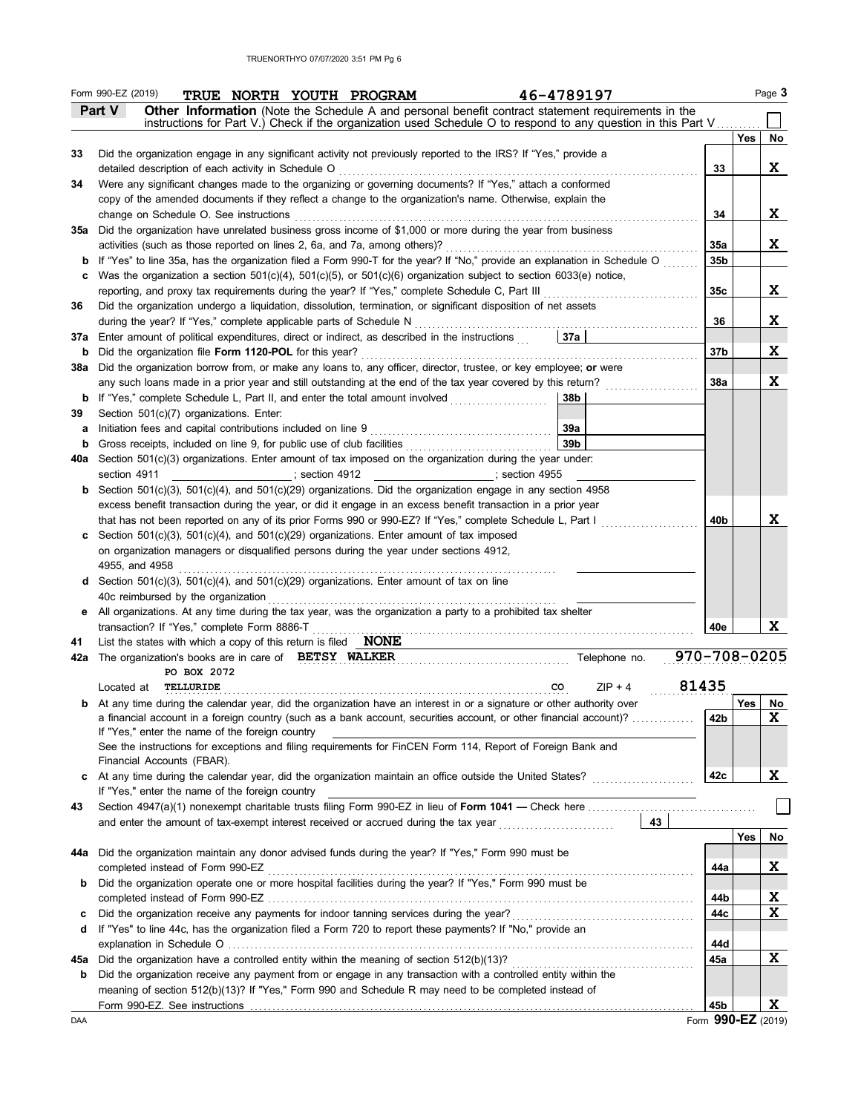|          | Form 990-EZ (2019)<br>46-4789197<br>TRUE NORTH YOUTH PROGRAM                                                                                                  |              |            | Page 3   |
|----------|---------------------------------------------------------------------------------------------------------------------------------------------------------------|--------------|------------|----------|
|          | Part V<br>Other Information (Note the Schedule A and personal benefit contract statement requirements in the                                                  |              |            |          |
|          | instructions for Part V.) Check if the organization used Schedule O to respond to any question in this Part V                                                 |              |            |          |
| 33       | Did the organization engage in any significant activity not previously reported to the IRS? If "Yes," provide a                                               |              | <b>Yes</b> | No       |
|          | detailed description of each activity in Schedule O                                                                                                           | 33           |            | X.       |
| 34       | Were any significant changes made to the organizing or governing documents? If "Yes," attach a conformed                                                      |              |            |          |
|          | copy of the amended documents if they reflect a change to the organization's name. Otherwise, explain the                                                     |              |            |          |
|          | change on Schedule O. See instructions                                                                                                                        | 34           |            | X.       |
|          | 35a Did the organization have unrelated business gross income of \$1,000 or more during the year from business                                                |              |            |          |
|          | activities (such as those reported on lines 2, 6a, and 7a, among others)?                                                                                     | 35a          |            | X.       |
| b        | If "Yes" to line 35a, has the organization filed a Form 990-T for the year? If "No," provide an explanation in Schedule O                                     | 35b          |            |          |
| c        | Was the organization a section $501(c)(4)$ , $501(c)(5)$ , or $501(c)(6)$ organization subject to section 6033(e) notice,                                     |              |            |          |
|          | reporting, and proxy tax requirements during the year? If "Yes," complete Schedule C, Part III                                                                | 35c          |            | X.       |
| 36       | Did the organization undergo a liquidation, dissolution, termination, or significant disposition of net assets                                                |              |            |          |
|          | during the year? If "Yes," complete applicable parts of Schedule N                                                                                            | 36           |            | X.       |
| 37a<br>b | Enter amount of political expenditures, direct or indirect, as described in the instructions<br>37a<br>Did the organization file Form 1120-POL for this year? | 37b          |            | X        |
| 38a      | Did the organization borrow from, or make any loans to, any officer, director, trustee, or key employee; or were                                              |              |            |          |
|          | any such loans made in a prior year and still outstanding at the end of the tax year covered by this return?                                                  | <b>38a</b>   |            | X        |
| b        | If "Yes," complete Schedule L, Part II, and enter the total amount involved<br>38b                                                                            |              |            |          |
| 39       | Section 501(c)(7) organizations. Enter:                                                                                                                       |              |            |          |
| a        | Initiation fees and capital contributions included on line 9<br>39a                                                                                           |              |            |          |
| b        | 39 <sub>b</sub><br>Gross receipts, included on line 9, for public use of club facilities                                                                      |              |            |          |
| 40a      | Section $501(c)(3)$ organizations. Enter amount of tax imposed on the organization during the year under:                                                     |              |            |          |
|          | section 4911<br>; section 4912<br>$\overline{\phantom{a}}$ ; section 4955                                                                                     |              |            |          |
|          | Section 501(c)(3), 501(c)(4), and 501(c)(29) organizations. Did the organization engage in any section 4958                                                   |              |            |          |
|          | excess benefit transaction during the year, or did it engage in an excess benefit transaction in a prior year                                                 |              |            |          |
|          | that has not been reported on any of its prior Forms 990 or 990-EZ? If "Yes," complete Schedule L, Part I                                                     | 40b          |            | x        |
| C        | Section $501(c)(3)$ , $501(c)(4)$ , and $501(c)(29)$ organizations. Enter amount of tax imposed                                                               |              |            |          |
|          | on organization managers or disqualified persons during the year under sections 4912,                                                                         |              |            |          |
|          | 4955, and 4958                                                                                                                                                |              |            |          |
| d        | Section $501(c)(3)$ , $501(c)(4)$ , and $501(c)(29)$ organizations. Enter amount of tax on line                                                               |              |            |          |
| е        | 40c reimbursed by the organization<br>All organizations. At any time during the tax year, was the organization a party to a prohibited tax shelter            |              |            |          |
|          | transaction? If "Yes," complete Form 8886-T                                                                                                                   | 40e          |            | x        |
| 41       | List the states with which a copy of this return is filed $\blacksquare$ <b>NONE</b>                                                                          |              |            |          |
| 42a      | The organization's books are in care of BETSY WALKER<br>Telephone no.                                                                                         | 970-708-0205 |            |          |
|          | PO BOX 2072                                                                                                                                                   |              |            |          |
|          | $ZIP + 4$<br>Located at<br>TELLURIDE<br>co                                                                                                                    | 81435        |            |          |
|          | <b>b</b> At any time during the calendar year, did the organization have an interest in or a signature or other authority over                                |              | Yes        | No       |
|          | a financial account in a foreign country (such as a bank account, securities account, or other financial account)?                                            | 42b          |            | X        |
|          | If "Yes," enter the name of the foreign country                                                                                                               |              |            |          |
|          | See the instructions for exceptions and filing requirements for FinCEN Form 114, Report of Foreign Bank and<br>Financial Accounts (FBAR).                     |              |            |          |
| с        | At any time during the calendar year, did the organization maintain an office outside the United States?                                                      | 42c          |            | X.       |
|          | If "Yes," enter the name of the foreign country                                                                                                               |              |            |          |
| 43       |                                                                                                                                                               |              |            |          |
|          | 43<br>and enter the amount of tax-exempt interest received or accrued during the tax year                                                                     |              |            |          |
|          |                                                                                                                                                               |              | Yes        | No       |
| 44a      | Did the organization maintain any donor advised funds during the year? If "Yes," Form 990 must be                                                             |              |            |          |
|          | completed instead of Form 990-EZ                                                                                                                              | 44a          |            | X        |
| b        | Did the organization operate one or more hospital facilities during the year? If "Yes," Form 990 must be                                                      |              |            |          |
|          |                                                                                                                                                               | 44b          |            | <u>x</u> |
| c        |                                                                                                                                                               | 44c          |            | X        |
| d        | If "Yes" to line 44c, has the organization filed a Form 720 to report these payments? If "No," provide an                                                     |              |            |          |
|          |                                                                                                                                                               | 44d          |            |          |
| 45а      | Did the organization have a controlled entity within the meaning of section 512(b)(13)?                                                                       | 45a          |            | X        |
| b        | Did the organization receive any payment from or engage in any transaction with a controlled entity within the                                                |              |            |          |
|          | meaning of section 512(b)(13)? If "Yes," Form 990 and Schedule R may need to be completed instead of                                                          | 45b          |            | X        |
|          |                                                                                                                                                               |              |            |          |

Form **990-EZ** (2019)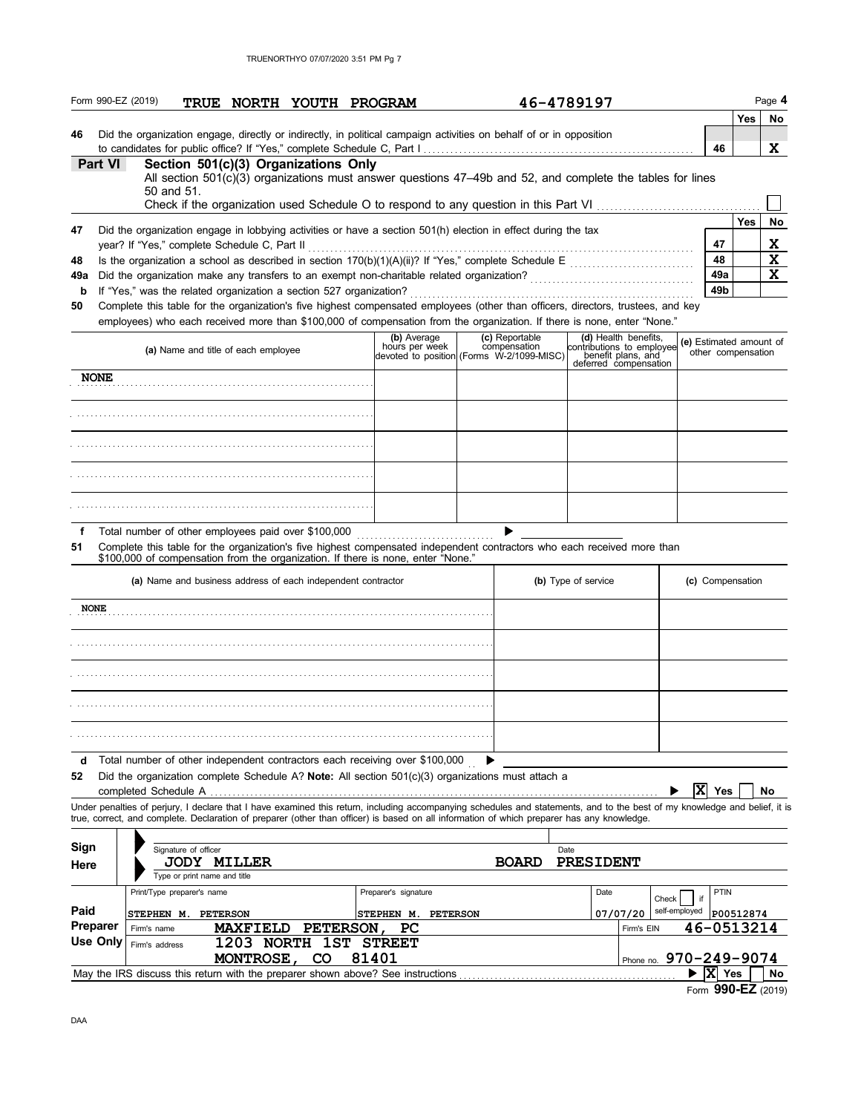|         | Form 990-EZ (2019)                                                                                                                                                                                                                                                                                                                               |                                                    | TRUE NORTH YOUTH PROGRAM                                     |             |                  |                               |                                                                                                            | 46-4789197          |                                                                                                  |                         |                    | Page 4      |
|---------|--------------------------------------------------------------------------------------------------------------------------------------------------------------------------------------------------------------------------------------------------------------------------------------------------------------------------------------------------|----------------------------------------------------|--------------------------------------------------------------|-------------|------------------|-------------------------------|------------------------------------------------------------------------------------------------------------|---------------------|--------------------------------------------------------------------------------------------------|-------------------------|--------------------|-------------|
| 46      | Did the organization engage, directly or indirectly, in political campaign activities on behalf of or in opposition                                                                                                                                                                                                                              |                                                    |                                                              |             |                  |                               |                                                                                                            |                     |                                                                                                  | 46                      | Yes                | No<br>x     |
|         | Part VI                                                                                                                                                                                                                                                                                                                                          |                                                    | Section 501(c)(3) Organizations Only                         |             |                  |                               | All section 501(c)(3) organizations must answer questions 47–49b and 52, and complete the tables for lines |                     |                                                                                                  |                         |                    |             |
|         |                                                                                                                                                                                                                                                                                                                                                  | 50 and 51.                                         |                                                              |             |                  |                               |                                                                                                            |                     |                                                                                                  |                         |                    |             |
|         |                                                                                                                                                                                                                                                                                                                                                  |                                                    |                                                              |             |                  |                               |                                                                                                            |                     |                                                                                                  |                         | Yes                | No          |
| 47      | Did the organization engage in lobbying activities or have a section 501(h) election in effect during the tax<br>year? If "Yes," complete Schedule C, Part II                                                                                                                                                                                    |                                                    |                                                              |             |                  |                               |                                                                                                            |                     |                                                                                                  | 47                      |                    | <u>x</u>    |
| 48      |                                                                                                                                                                                                                                                                                                                                                  |                                                    |                                                              |             |                  |                               |                                                                                                            |                     |                                                                                                  | 48                      |                    | $\mathbf x$ |
| 49a     |                                                                                                                                                                                                                                                                                                                                                  |                                                    |                                                              |             |                  |                               |                                                                                                            |                     |                                                                                                  | 49a                     |                    | X           |
| b       | If "Yes," was the related organization a section 527 organization?                                                                                                                                                                                                                                                                               |                                                    |                                                              |             |                  |                               |                                                                                                            |                     |                                                                                                  | 49b                     |                    |             |
| 50      | Complete this table for the organization's five highest compensated employees (other than officers, directors, trustees, and key<br>employees) who each received more than \$100,000 of compensation from the organization. If there is none, enter "None."                                                                                      |                                                    |                                                              |             |                  |                               |                                                                                                            |                     |                                                                                                  |                         |                    |             |
|         |                                                                                                                                                                                                                                                                                                                                                  |                                                    | (a) Name and title of each employee                          |             |                  | (b) Average<br>hours per week | (c) Reportable<br>compensation<br>devoted to position (Forms W-2/1099-MISC)                                |                     | (d) Health benefits,<br>contributions to employee<br>benefit plans, and<br>deferred compensation | (e) Estimated amount of | other compensation |             |
|         | <b>NONE</b>                                                                                                                                                                                                                                                                                                                                      |                                                    |                                                              |             |                  |                               |                                                                                                            |                     |                                                                                                  |                         |                    |             |
|         |                                                                                                                                                                                                                                                                                                                                                  |                                                    |                                                              |             |                  |                               |                                                                                                            |                     |                                                                                                  |                         |                    |             |
|         |                                                                                                                                                                                                                                                                                                                                                  |                                                    |                                                              |             |                  |                               |                                                                                                            |                     |                                                                                                  |                         |                    |             |
|         |                                                                                                                                                                                                                                                                                                                                                  |                                                    |                                                              |             |                  |                               |                                                                                                            |                     |                                                                                                  |                         |                    |             |
|         |                                                                                                                                                                                                                                                                                                                                                  |                                                    |                                                              |             |                  |                               |                                                                                                            |                     |                                                                                                  |                         |                    |             |
| f       | Total number of other employees paid over \$100,000                                                                                                                                                                                                                                                                                              |                                                    |                                                              |             |                  |                               |                                                                                                            |                     |                                                                                                  |                         |                    |             |
| 51      | Complete this table for the organization's five highest compensated independent contractors who each received more than<br>\$100,000 of compensation from the organization. If there is none, enter "None."                                                                                                                                      |                                                    |                                                              |             |                  |                               |                                                                                                            |                     |                                                                                                  |                         |                    |             |
|         |                                                                                                                                                                                                                                                                                                                                                  |                                                    | (a) Name and business address of each independent contractor |             |                  |                               |                                                                                                            | (b) Type of service |                                                                                                  |                         | (c) Compensation   |             |
|         | <b>NONE</b>                                                                                                                                                                                                                                                                                                                                      |                                                    |                                                              |             |                  |                               |                                                                                                            |                     |                                                                                                  |                         |                    |             |
|         |                                                                                                                                                                                                                                                                                                                                                  |                                                    |                                                              |             |                  |                               |                                                                                                            |                     |                                                                                                  |                         |                    |             |
|         |                                                                                                                                                                                                                                                                                                                                                  |                                                    |                                                              |             |                  |                               |                                                                                                            |                     |                                                                                                  |                         |                    |             |
|         |                                                                                                                                                                                                                                                                                                                                                  |                                                    |                                                              |             |                  |                               |                                                                                                            |                     |                                                                                                  |                         |                    |             |
|         |                                                                                                                                                                                                                                                                                                                                                  |                                                    |                                                              |             |                  |                               |                                                                                                            |                     |                                                                                                  |                         |                    |             |
| d<br>52 | Total number of other independent contractors each receiving over \$100,000                                                                                                                                                                                                                                                                      |                                                    |                                                              |             |                  |                               | Did the organization complete Schedule A? <b>Note:</b> All section $501(c)(3)$ organizations must attach a |                     |                                                                                                  |                         |                    |             |
|         | completed Schedule A<br>Under penalties of perjury, I declare that I have examined this return, including accompanying schedules and statements, and to the best of my knowledge and belief, it is<br>true, correct, and complete. Declaration of preparer (other than officer) is based on all information of which preparer has any knowledge. |                                                    |                                                              |             |                  |                               |                                                                                                            |                     |                                                                                                  | $ \mathbf{x} $          | Yes                | No          |
|         |                                                                                                                                                                                                                                                                                                                                                  |                                                    |                                                              |             |                  |                               |                                                                                                            |                     |                                                                                                  |                         |                    |             |
| Sign    |                                                                                                                                                                                                                                                                                                                                                  | Signature of officer                               |                                                              |             |                  |                               |                                                                                                            | Date                |                                                                                                  |                         |                    |             |
| Here    |                                                                                                                                                                                                                                                                                                                                                  | <b>JODY MILLER</b><br>Type or print name and title |                                                              |             |                  |                               | <b>BOARD</b>                                                                                               | PRESIDENT           |                                                                                                  |                         |                    |             |
|         |                                                                                                                                                                                                                                                                                                                                                  | Print/Type preparer's name                         |                                                              |             |                  | Preparer's signature          |                                                                                                            | Date                |                                                                                                  |                         | PTIN               |             |
| Paid    |                                                                                                                                                                                                                                                                                                                                                  | <b>STEPHEN M. PETERSON</b>                         |                                                              |             |                  | <b>STEPHEN M. PETERSON</b>    |                                                                                                            |                     | Check<br>07/07/20                                                                                | if<br>self-employed     | P00512874          |             |
|         | Preparer<br>Firm's name                                                                                                                                                                                                                                                                                                                          |                                                    | <b>MAXFIELD</b>                                              |             | <b>PETERSON,</b> | PС                            |                                                                                                            |                     | Firm's EIN                                                                                       |                         | 46-0513214         |             |
|         | <b>Use Only</b><br>Firm's address                                                                                                                                                                                                                                                                                                                |                                                    | 1203 NORTH 1ST STREET                                        |             |                  |                               |                                                                                                            |                     |                                                                                                  |                         |                    |             |
|         |                                                                                                                                                                                                                                                                                                                                                  |                                                    | <b>MONTROSE,</b>                                             | $_{\rm CO}$ | 81401            |                               |                                                                                                            |                     | Phone no. 970-249-9074                                                                           |                         |                    |             |
|         | May the IRS discuss this return with the preparer shown above? See instructions                                                                                                                                                                                                                                                                  |                                                    |                                                              |             |                  |                               |                                                                                                            |                     |                                                                                                  | $ {\bf x} $<br>▶        | Yes                | No          |

Form **990-EZ** (2019)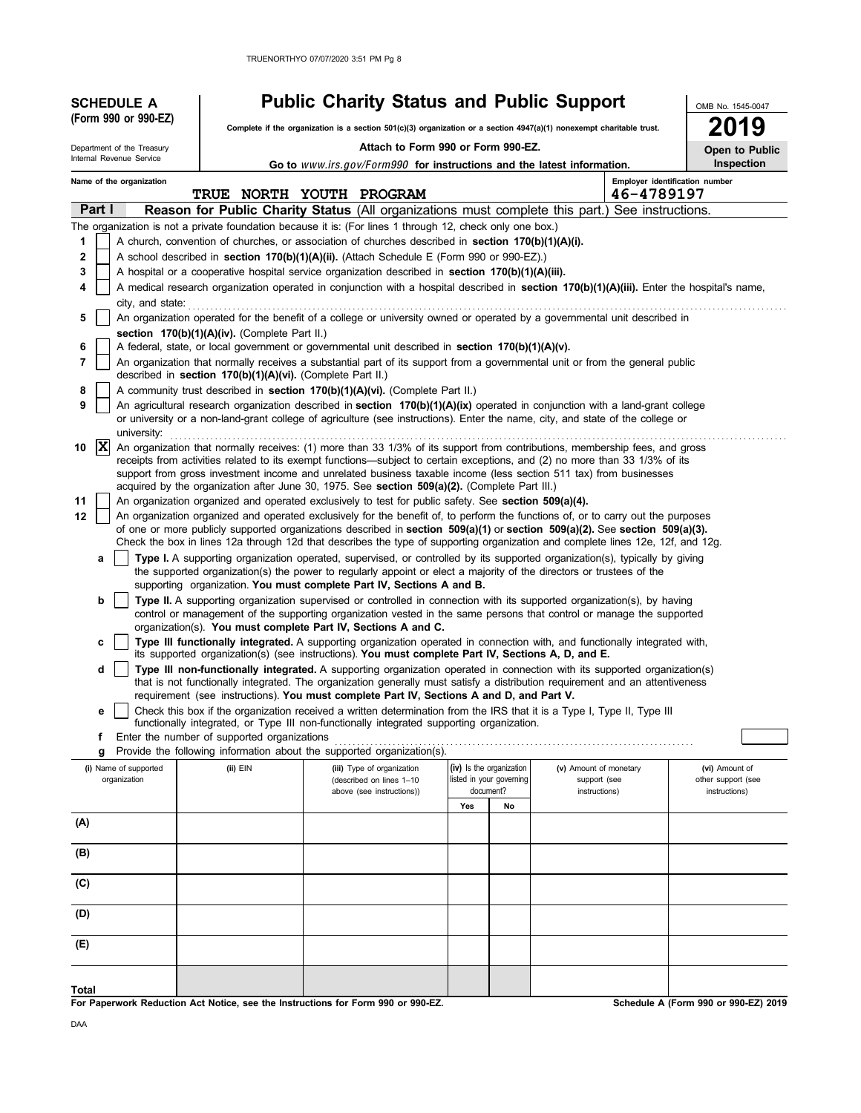| (Form 990 or 990-EZ)<br>Complete if the organization is a section 501(c)(3) organization or a section 4947(a)(1) nonexempt charitable trust.<br>Attach to Form 990 or Form 990-EZ.<br>Department of the Treasury<br>Internal Revenue Service<br>Go to www.irs.gov/Form990 for instructions and the latest information.<br>Employer identification number<br>Name of the organization<br>TRUE NORTH YOUTH PROGRAM<br>46-4789197<br>Part I<br><b>Reason for Public Charity Status</b> (All organizations must complete this part.) See instructions.<br>The organization is not a private foundation because it is: (For lines 1 through 12, check only one box.)<br>1<br>A church, convention of churches, or association of churches described in section 170(b)(1)(A)(i).<br>2<br>A school described in section 170(b)(1)(A)(ii). (Attach Schedule E (Form 990 or 990-EZ).) | 9<br>Open to Public<br>Inspection |
|------------------------------------------------------------------------------------------------------------------------------------------------------------------------------------------------------------------------------------------------------------------------------------------------------------------------------------------------------------------------------------------------------------------------------------------------------------------------------------------------------------------------------------------------------------------------------------------------------------------------------------------------------------------------------------------------------------------------------------------------------------------------------------------------------------------------------------------------------------------------------|-----------------------------------|
|                                                                                                                                                                                                                                                                                                                                                                                                                                                                                                                                                                                                                                                                                                                                                                                                                                                                              |                                   |
|                                                                                                                                                                                                                                                                                                                                                                                                                                                                                                                                                                                                                                                                                                                                                                                                                                                                              |                                   |
|                                                                                                                                                                                                                                                                                                                                                                                                                                                                                                                                                                                                                                                                                                                                                                                                                                                                              |                                   |
|                                                                                                                                                                                                                                                                                                                                                                                                                                                                                                                                                                                                                                                                                                                                                                                                                                                                              |                                   |
|                                                                                                                                                                                                                                                                                                                                                                                                                                                                                                                                                                                                                                                                                                                                                                                                                                                                              |                                   |
|                                                                                                                                                                                                                                                                                                                                                                                                                                                                                                                                                                                                                                                                                                                                                                                                                                                                              |                                   |
|                                                                                                                                                                                                                                                                                                                                                                                                                                                                                                                                                                                                                                                                                                                                                                                                                                                                              |                                   |
|                                                                                                                                                                                                                                                                                                                                                                                                                                                                                                                                                                                                                                                                                                                                                                                                                                                                              |                                   |
| A hospital or a cooperative hospital service organization described in section 170(b)(1)(A)(iii).<br>3                                                                                                                                                                                                                                                                                                                                                                                                                                                                                                                                                                                                                                                                                                                                                                       |                                   |
| A medical research organization operated in conjunction with a hospital described in section 170(b)(1)(A)(iii). Enter the hospital's name,<br>4<br>city, and state:                                                                                                                                                                                                                                                                                                                                                                                                                                                                                                                                                                                                                                                                                                          |                                   |
| An organization operated for the benefit of a college or university owned or operated by a governmental unit described in<br>5                                                                                                                                                                                                                                                                                                                                                                                                                                                                                                                                                                                                                                                                                                                                               |                                   |
| section $170(b)(1)(A)(iv)$ . (Complete Part II.)                                                                                                                                                                                                                                                                                                                                                                                                                                                                                                                                                                                                                                                                                                                                                                                                                             |                                   |
| A federal, state, or local government or governmental unit described in section 170(b)(1)(A)(v).<br>6                                                                                                                                                                                                                                                                                                                                                                                                                                                                                                                                                                                                                                                                                                                                                                        |                                   |
| An organization that normally receives a substantial part of its support from a governmental unit or from the general public<br>7<br>described in section $170(b)(1)(A)(vi)$ . (Complete Part II.)                                                                                                                                                                                                                                                                                                                                                                                                                                                                                                                                                                                                                                                                           |                                   |
| A community trust described in section 170(b)(1)(A)(vi). (Complete Part II.)<br>8                                                                                                                                                                                                                                                                                                                                                                                                                                                                                                                                                                                                                                                                                                                                                                                            |                                   |
| An agricultural research organization described in section 170(b)(1)(A)(ix) operated in conjunction with a land-grant college<br>9<br>or university or a non-land-grant college of agriculture (see instructions). Enter the name, city, and state of the college or<br>university:                                                                                                                                                                                                                                                                                                                                                                                                                                                                                                                                                                                          |                                   |
| $ {\bf x} $<br>An organization that normally receives: (1) more than 33 1/3% of its support from contributions, membership fees, and gross<br>10                                                                                                                                                                                                                                                                                                                                                                                                                                                                                                                                                                                                                                                                                                                             |                                   |
| receipts from activities related to its exempt functions—subject to certain exceptions, and (2) no more than 33 1/3% of its<br>support from gross investment income and unrelated business taxable income (less section 511 tax) from businesses<br>acquired by the organization after June 30, 1975. See section 509(a)(2). (Complete Part III.)                                                                                                                                                                                                                                                                                                                                                                                                                                                                                                                            |                                   |
| An organization organized and operated exclusively to test for public safety. See section 509(a)(4).<br>11                                                                                                                                                                                                                                                                                                                                                                                                                                                                                                                                                                                                                                                                                                                                                                   |                                   |
| An organization organized and operated exclusively for the benefit of, to perform the functions of, or to carry out the purposes<br>12                                                                                                                                                                                                                                                                                                                                                                                                                                                                                                                                                                                                                                                                                                                                       |                                   |
| of one or more publicly supported organizations described in section $509(a)(1)$ or section $509(a)(2)$ . See section $509(a)(3)$ .<br>Check the box in lines 12a through 12d that describes the type of supporting organization and complete lines 12e, 12f, and 12g.                                                                                                                                                                                                                                                                                                                                                                                                                                                                                                                                                                                                       |                                   |
| Type I. A supporting organization operated, supervised, or controlled by its supported organization(s), typically by giving<br>а                                                                                                                                                                                                                                                                                                                                                                                                                                                                                                                                                                                                                                                                                                                                             |                                   |
| the supported organization(s) the power to regularly appoint or elect a majority of the directors or trustees of the<br>supporting organization. You must complete Part IV, Sections A and B.                                                                                                                                                                                                                                                                                                                                                                                                                                                                                                                                                                                                                                                                                |                                   |
| Type II. A supporting organization supervised or controlled in connection with its supported organization(s), by having<br>b                                                                                                                                                                                                                                                                                                                                                                                                                                                                                                                                                                                                                                                                                                                                                 |                                   |
| control or management of the supporting organization vested in the same persons that control or manage the supported<br>organization(s). You must complete Part IV, Sections A and C.                                                                                                                                                                                                                                                                                                                                                                                                                                                                                                                                                                                                                                                                                        |                                   |
| Type III functionally integrated. A supporting organization operated in connection with, and functionally integrated with,                                                                                                                                                                                                                                                                                                                                                                                                                                                                                                                                                                                                                                                                                                                                                   |                                   |
| its supported organization(s) (see instructions). You must complete Part IV, Sections A, D, and E.<br>Type III non-functionally integrated. A supporting organization operated in connection with its supported organization(s)<br>d                                                                                                                                                                                                                                                                                                                                                                                                                                                                                                                                                                                                                                         |                                   |
| that is not functionally integrated. The organization generally must satisfy a distribution requirement and an attentiveness                                                                                                                                                                                                                                                                                                                                                                                                                                                                                                                                                                                                                                                                                                                                                 |                                   |
| requirement (see instructions). You must complete Part IV, Sections A and D, and Part V.<br>Check this box if the organization received a written determination from the IRS that it is a Type I, Type II, Type III                                                                                                                                                                                                                                                                                                                                                                                                                                                                                                                                                                                                                                                          |                                   |
| е<br>functionally integrated, or Type III non-functionally integrated supporting organization.                                                                                                                                                                                                                                                                                                                                                                                                                                                                                                                                                                                                                                                                                                                                                                               |                                   |
| Enter the number of supported organizations<br>f                                                                                                                                                                                                                                                                                                                                                                                                                                                                                                                                                                                                                                                                                                                                                                                                                             |                                   |
| Provide the following information about the supported organization(s).<br>g                                                                                                                                                                                                                                                                                                                                                                                                                                                                                                                                                                                                                                                                                                                                                                                                  |                                   |
| (iv) Is the organization<br>(i) Name of supported<br>(ii) EIN<br>(v) Amount of monetary<br>(iii) Type of organization<br>(vi) Amount of<br>listed in your governing<br>organization<br>support (see<br>other support (see<br>(described on lines 1-10                                                                                                                                                                                                                                                                                                                                                                                                                                                                                                                                                                                                                        |                                   |
| document?<br>instructions)<br>instructions)<br>above (see instructions))                                                                                                                                                                                                                                                                                                                                                                                                                                                                                                                                                                                                                                                                                                                                                                                                     |                                   |
| No<br>Yes<br>(A)                                                                                                                                                                                                                                                                                                                                                                                                                                                                                                                                                                                                                                                                                                                                                                                                                                                             |                                   |
|                                                                                                                                                                                                                                                                                                                                                                                                                                                                                                                                                                                                                                                                                                                                                                                                                                                                              |                                   |
| (B)                                                                                                                                                                                                                                                                                                                                                                                                                                                                                                                                                                                                                                                                                                                                                                                                                                                                          |                                   |
| (C)                                                                                                                                                                                                                                                                                                                                                                                                                                                                                                                                                                                                                                                                                                                                                                                                                                                                          |                                   |
| (D)                                                                                                                                                                                                                                                                                                                                                                                                                                                                                                                                                                                                                                                                                                                                                                                                                                                                          |                                   |
| (E)                                                                                                                                                                                                                                                                                                                                                                                                                                                                                                                                                                                                                                                                                                                                                                                                                                                                          |                                   |
| Total                                                                                                                                                                                                                                                                                                                                                                                                                                                                                                                                                                                                                                                                                                                                                                                                                                                                        |                                   |

**For Paperwork Reduction Act Notice, see the Instructions for Form 990 or 990-EZ.**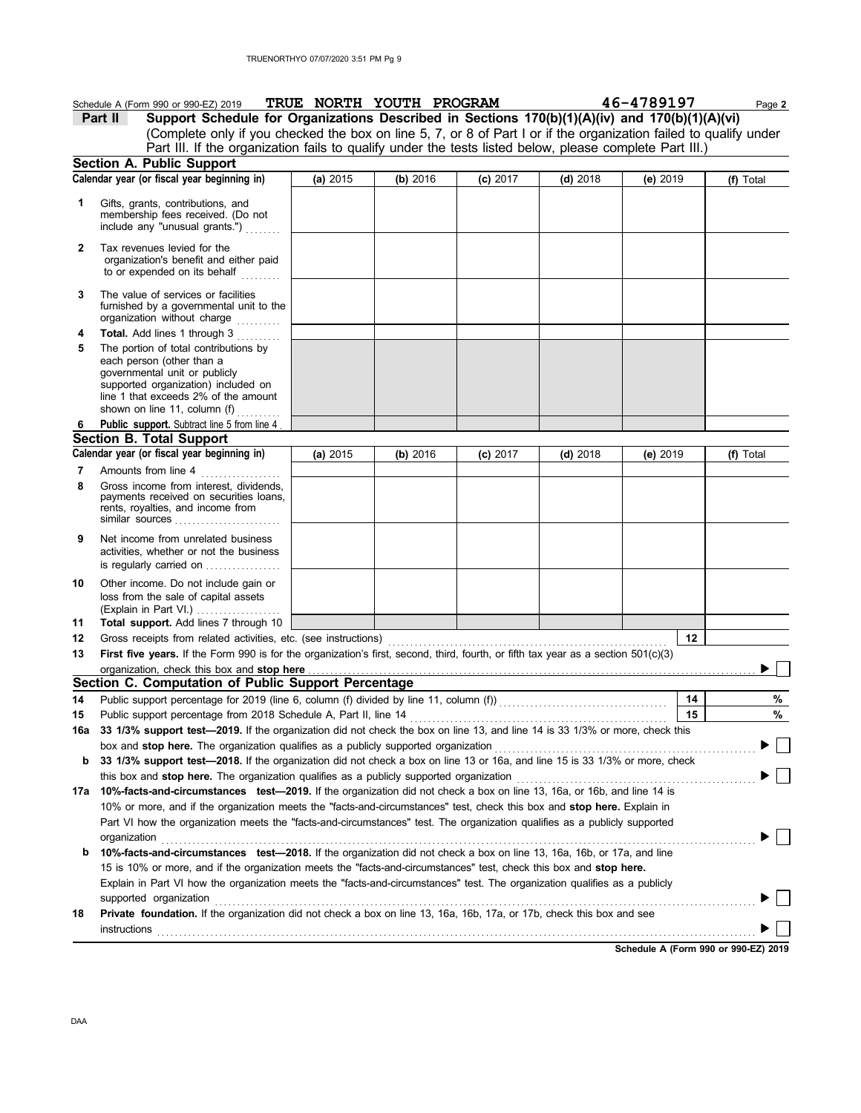|          | Schedule A (Form 990 or 990-EZ) 2019                                                                                                                                                                                                                                                                                                                                                               | TRUE NORTH YOUTH PROGRAM |          |            |            | 46-4789197 | Page 2    |
|----------|----------------------------------------------------------------------------------------------------------------------------------------------------------------------------------------------------------------------------------------------------------------------------------------------------------------------------------------------------------------------------------------------------|--------------------------|----------|------------|------------|------------|-----------|
|          | Support Schedule for Organizations Described in Sections 170(b)(1)(A)(iv) and 170(b)(1)(A)(vi)<br>Part II                                                                                                                                                                                                                                                                                          |                          |          |            |            |            |           |
|          | (Complete only if you checked the box on line 5, 7, or 8 of Part I or if the organization failed to qualify under                                                                                                                                                                                                                                                                                  |                          |          |            |            |            |           |
|          | Part III. If the organization fails to qualify under the tests listed below, please complete Part III.)                                                                                                                                                                                                                                                                                            |                          |          |            |            |            |           |
|          | Section A. Public Support                                                                                                                                                                                                                                                                                                                                                                          |                          |          |            |            |            |           |
|          | Calendar year (or fiscal year beginning in)                                                                                                                                                                                                                                                                                                                                                        | (a) 2015                 | (b) 2016 | $(c)$ 2017 | $(d)$ 2018 | (e) 2019   | (f) Total |
| 1        | Gifts, grants, contributions, and<br>membership fees received. (Do not<br>include any "unusual grants.")                                                                                                                                                                                                                                                                                           |                          |          |            |            |            |           |
| 2        | Tax revenues levied for the<br>organization's benefit and either paid<br>to or expended on its behalf<br><u>.</u>                                                                                                                                                                                                                                                                                  |                          |          |            |            |            |           |
| 3        | The value of services or facilities<br>furnished by a governmental unit to the<br>organization without charge                                                                                                                                                                                                                                                                                      |                          |          |            |            |            |           |
| 4        | Total. Add lines 1 through 3                                                                                                                                                                                                                                                                                                                                                                       |                          |          |            |            |            |           |
| 5        | The portion of total contributions by<br>each person (other than a<br>governmental unit or publicly<br>supported organization) included on<br>line 1 that exceeds 2% of the amount<br>shown on line 11, column $(f)$                                                                                                                                                                               |                          |          |            |            |            |           |
| 6        | Public support. Subtract line 5 from line 4                                                                                                                                                                                                                                                                                                                                                        |                          |          |            |            |            |           |
|          | <b>Section B. Total Support</b>                                                                                                                                                                                                                                                                                                                                                                    |                          |          |            |            |            |           |
|          | Calendar year (or fiscal year beginning in)                                                                                                                                                                                                                                                                                                                                                        | (a) $2015$               | (b) 2016 | $(c)$ 2017 | $(d)$ 2018 | (e) 2019   | (f) Total |
| 7<br>8   | Amounts from line 4<br>Gross income from interest, dividends,<br>payments received on securities loans,<br>rents, royalties, and income from<br>similar sources $\ldots$ , $\ldots$ , $\ldots$ , $\ldots$ , $\ldots$                                                                                                                                                                               |                          |          |            |            |            |           |
| 9        | Net income from unrelated business<br>activities, whether or not the business<br>is regularly carried on                                                                                                                                                                                                                                                                                           |                          |          |            |            |            |           |
| 10<br>11 | Other income. Do not include gain or<br>loss from the sale of capital assets<br>(Explain in Part VI.) $\ldots$<br>Total support. Add lines 7 through 10                                                                                                                                                                                                                                            |                          |          |            |            |            |           |
| 12       |                                                                                                                                                                                                                                                                                                                                                                                                    |                          |          |            |            | 12         |           |
| 13       | First five years. If the Form 990 is for the organization's first, second, third, fourth, or fifth tax year as a section $501(c)(3)$                                                                                                                                                                                                                                                               |                          |          |            |            |            |           |
|          | organization, check this box and stop here                                                                                                                                                                                                                                                                                                                                                         |                          |          |            |            |            |           |
|          | Section C. Computation of Public Support Percentage                                                                                                                                                                                                                                                                                                                                                |                          |          |            |            |            |           |
| 14       | Public support percentage for 2019 (line 6, column (f) divided by line 11, column (f)) [[[[[[[[[[[[[[[[[[[[[[                                                                                                                                                                                                                                                                                      |                          |          |            |            | 14         | %         |
| 15       |                                                                                                                                                                                                                                                                                                                                                                                                    |                          |          |            |            | 15         | %         |
|          | 16a 33 1/3% support test-2019. If the organization did not check the box on line 13, and line 14 is 33 1/3% or more, check this                                                                                                                                                                                                                                                                    |                          |          |            |            |            |           |
|          | box and stop here. The organization qualifies as a publicly supported organization                                                                                                                                                                                                                                                                                                                 |                          |          |            |            |            |           |
| b        | 33 1/3% support test-2018. If the organization did not check a box on line 13 or 16a, and line 15 is 33 1/3% or more, check                                                                                                                                                                                                                                                                        |                          |          |            |            |            |           |
|          |                                                                                                                                                                                                                                                                                                                                                                                                    |                          |          |            |            |            |           |
|          | 17a 10%-facts-and-circumstances test-2019. If the organization did not check a box on line 13, 16a, or 16b, and line 14 is<br>10% or more, and if the organization meets the "facts-and-circumstances" test, check this box and stop here. Explain in<br>Part VI how the organization meets the "facts-and-circumstances" test. The organization qualifies as a publicly supported<br>organization |                          |          |            |            |            |           |
| b        | 10%-facts-and-circumstances test-2018. If the organization did not check a box on line 13, 16a, 16b, or 17a, and line                                                                                                                                                                                                                                                                              |                          |          |            |            |            |           |
|          | 15 is 10% or more, and if the organization meets the "facts-and-circumstances" test, check this box and stop here.                                                                                                                                                                                                                                                                                 |                          |          |            |            |            |           |
|          | Explain in Part VI how the organization meets the "facts-and-circumstances" test. The organization qualifies as a publicly                                                                                                                                                                                                                                                                         |                          |          |            |            |            |           |
|          | supported organization                                                                                                                                                                                                                                                                                                                                                                             |                          |          |            |            |            |           |
| 18       | Private foundation. If the organization did not check a box on line 13, 16a, 16b, 17a, or 17b, check this box and see                                                                                                                                                                                                                                                                              |                          |          |            |            |            |           |
|          | <b>instructions</b>                                                                                                                                                                                                                                                                                                                                                                                |                          |          |            |            |            |           |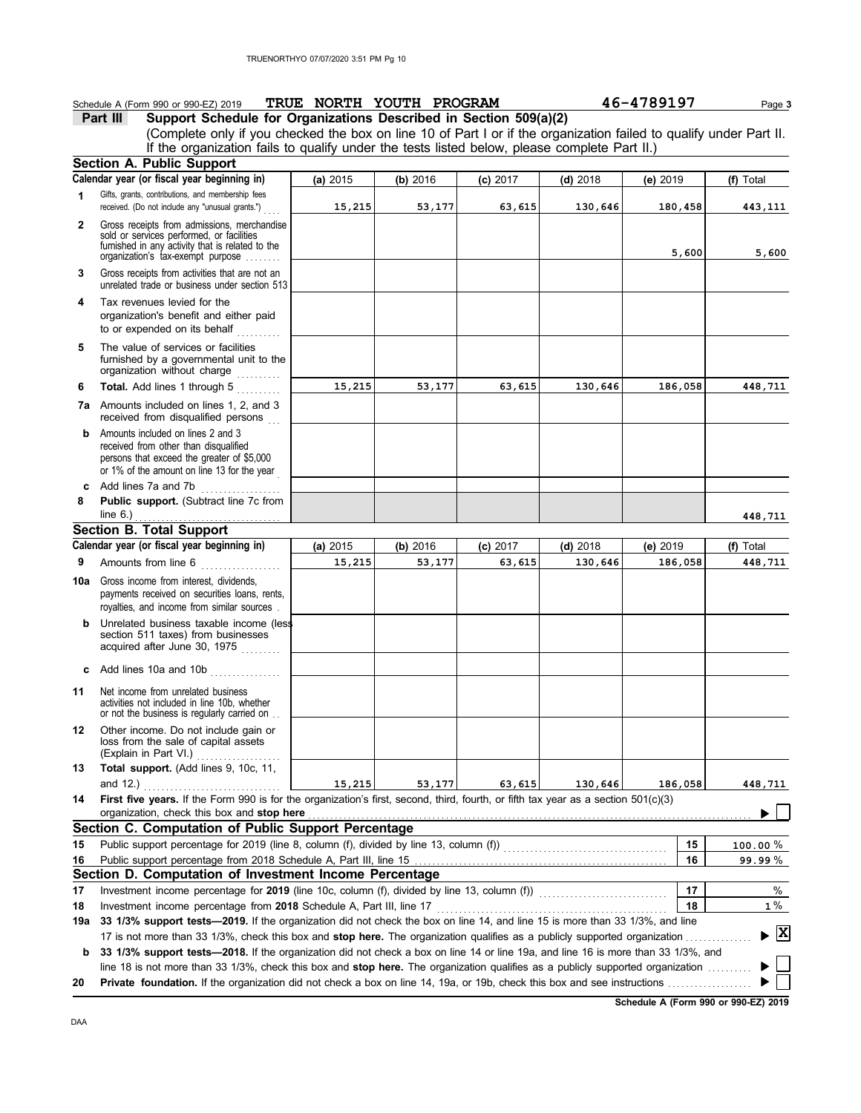|          | Schedule A (Form 990 or 990-EZ) 2019                                                                                                                                              |          | TRUE NORTH YOUTH PROGRAM |            |            | 46-4789197 | Page 3       |
|----------|-----------------------------------------------------------------------------------------------------------------------------------------------------------------------------------|----------|--------------------------|------------|------------|------------|--------------|
|          | Support Schedule for Organizations Described in Section 509(a)(2)<br>Part III                                                                                                     |          |                          |            |            |            |              |
|          | (Complete only if you checked the box on line 10 of Part I or if the organization failed to qualify under Part II.                                                                |          |                          |            |            |            |              |
|          | If the organization fails to qualify under the tests listed below, please complete Part II.)                                                                                      |          |                          |            |            |            |              |
|          | <b>Section A. Public Support</b>                                                                                                                                                  |          |                          |            |            |            |              |
|          | Calendar year (or fiscal year beginning in)                                                                                                                                       | (a) 2015 | (b) 2016                 | $(c)$ 2017 | $(d)$ 2018 | (e) $2019$ | (f) Total    |
| 1        | Gifts, grants, contributions, and membership fees<br>received. (Do not include any "unusual grants.")                                                                             | 15,215   | 53,177                   | 63,615     | 130,646    | 180,458    | 443,111      |
| 2        | Gross receipts from admissions, merchandise<br>sold or services performed, or facilities<br>furnished in any activity that is related to the<br>organization's tax-exempt purpose |          |                          |            |            | 5,600      | 5,600        |
| 3        | Gross receipts from activities that are not an<br>unrelated trade or business under section 513                                                                                   |          |                          |            |            |            |              |
| 4        | Tax revenues levied for the<br>organization's benefit and either paid<br>to or expended on its behalf                                                                             |          |                          |            |            |            |              |
| 5        | The value of services or facilities<br>furnished by a governmental unit to the<br>organization without charge                                                                     |          |                          |            |            |            |              |
| 6        | Total. Add lines 1 through 5                                                                                                                                                      | 15,215   | 53,177                   | 63,615     | 130,646    | 186,058    | 448,711      |
|          | <b>7a</b> Amounts included on lines 1, 2, and 3<br>received from disqualified persons                                                                                             |          |                          |            |            |            |              |
| b        | Amounts included on lines 2 and 3<br>received from other than disqualified<br>persons that exceed the greater of \$5,000<br>or 1% of the amount on line 13 for the year           |          |                          |            |            |            |              |
| c        | Add lines 7a and 7b<br>.                                                                                                                                                          |          |                          |            |            |            |              |
| 8        | Public support. (Subtract line 7c from<br>line $6.$ )                                                                                                                             |          |                          |            |            |            | 448,711      |
|          | <b>Section B. Total Support</b>                                                                                                                                                   |          |                          |            |            |            |              |
|          | Calendar year (or fiscal year beginning in)                                                                                                                                       | (a) 2015 | (b) 2016                 | (c) 2017   | $(d)$ 2018 | (e) $2019$ | (f) Total    |
| 9        | Amounts from line 6<br>.                                                                                                                                                          | 15,215   | 53,177                   | 63,615     | 130,646    | 186,058    | 448,711      |
| 10a      | Gross income from interest, dividends,<br>payments received on securities loans, rents,<br>royalties, and income from similar sources.                                            |          |                          |            |            |            |              |
|          | <b>b</b> Unrelated business taxable income (less<br>section 511 taxes) from businesses<br>acquired after June 30, 1975                                                            |          |                          |            |            |            |              |
| c        | Add lines 10a and 10b                                                                                                                                                             |          |                          |            |            |            |              |
| 11       | Net income from unrelated business<br>activities not included in line 10b, whether<br>or not the business is regularly carried on                                                 |          |                          |            |            |            |              |
| 12       | Other income. Do not include gain or<br>loss from the sale of capital assets<br>(Explain in Part VI.)                                                                             |          |                          |            |            |            |              |
| 13       | Total support. (Add lines 9, 10c, 11,                                                                                                                                             |          |                          |            |            |            |              |
| 14       | First five years. If the Form 990 is for the organization's first, second, third, fourth, or fifth tax year as a section $501(c)(3)$                                              | 15,215   | 53,177                   | 63,615     | 130,646    | 186,058    | 448,711      |
|          | organization, check this box and stop here<br>Section C. Computation of Public Support Percentage                                                                                 |          |                          |            |            |            |              |
|          |                                                                                                                                                                                   |          |                          |            |            |            |              |
| 15       | Public support percentage for 2019 (line 8, column (f), divided by line 13, column (f)) [[[[[[[[[[[[[[[[[[[[[                                                                     |          |                          |            |            | 15         | $100.00\,\%$ |
| 16       |                                                                                                                                                                                   |          |                          |            |            | 16         | 99.99%       |
|          | Section D. Computation of Investment Income Percentage                                                                                                                            |          |                          |            |            | 17         | %            |
| 17<br>18 | Investment income percentage for 2019 (line 10c, column (f), divided by line 13, column (f))<br>Investment income percentage from 2018 Schedule A, Part III, line 17              |          |                          |            |            | 18         | $1\%$        |
| 19а      | 33 1/3% support tests-2019. If the organization did not check the box on line 14, and line 15 is more than 33 1/3%, and line                                                      |          |                          |            |            |            |              |
|          | 17 is not more than 33 1/3%, check this box and stop here. The organization qualifies as a publicly supported organization                                                        |          |                          |            |            |            | $\mathbf{X}$ |
| b        | 33 1/3% support tests-2018. If the organization did not check a box on line 14 or line 19a, and line 16 is more than 33 1/3%, and                                                 |          |                          |            |            |            |              |
| 20       | line 18 is not more than 33 1/3%, check this box and stop here. The organization qualifies as a publicly supported organization                                                   |          |                          |            |            |            |              |
|          |                                                                                                                                                                                   |          |                          |            |            |            |              |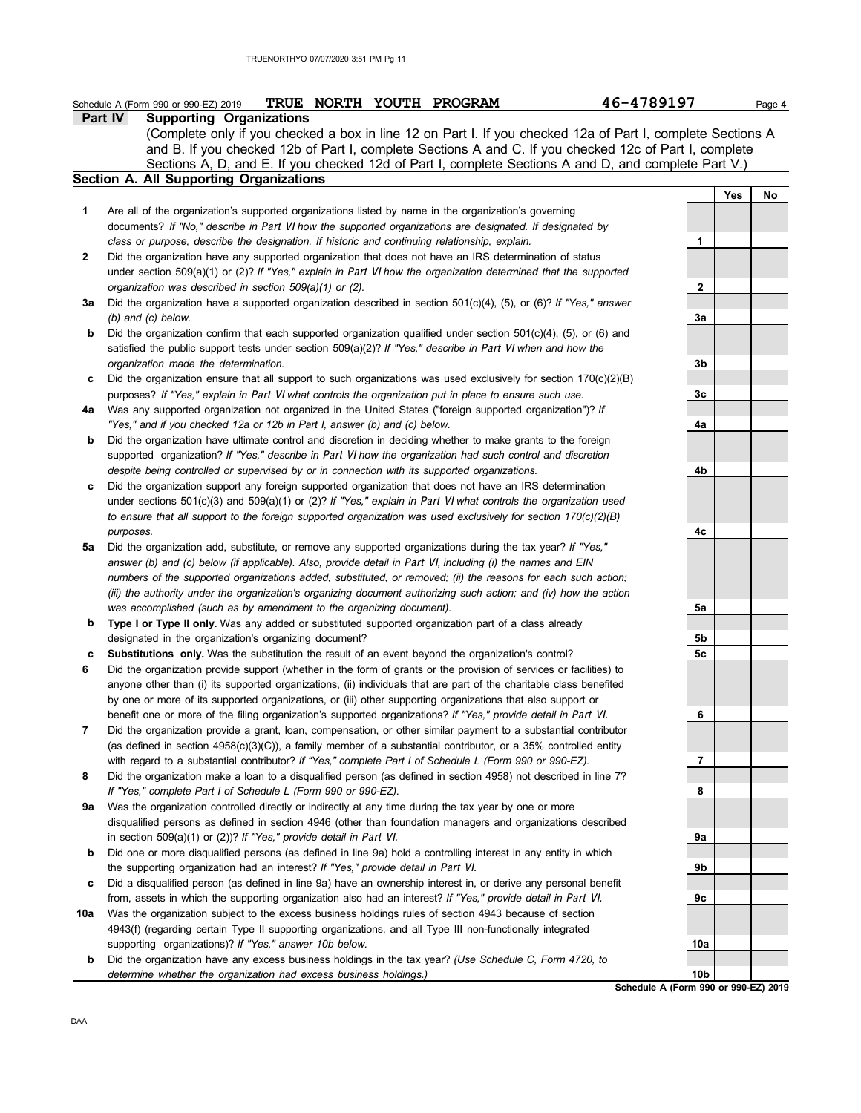## **Part IV Supporting Organizations Schedule A (Form 990 or 990-EZ) 2019** PRUE NORTH YOUTH PROGRAM 46-4789197 Page 4

Sections A, D, and E. If you checked 12d of Part I, complete Sections A and D, and complete Part V.) (Complete only if you checked a box in line 12 on Part I. If you checked 12a of Part I, complete Sections A and B. If you checked 12b of Part I, complete Sections A and C. If you checked 12c of Part I, complete

**Section A. All Supporting Organizations**

- Are all of the organization's supported organizations listed by name in the organization's governing documents? *If "No," describe in* Part VI *how the supported organizations are designated. If designated by class or purpose, describe the designation. If historic and continuing relationship, explain.* **1**
- Did the organization have any supported organization that does not have an IRS determination of status **2** under section 509(a)(1) or (2)? *If "Yes," explain in* Part VI *how the organization determined that the supported organization was described in section 509(a)(1) or (2).*
- **3a** Did the organization have a supported organization described in section 501(c)(4), (5), or (6)? *If "Yes," answer (b) and (c) below.*
- **b** Did the organization confirm that each supported organization qualified under section 501(c)(4), (5), or (6) and satisfied the public support tests under section 509(a)(2)? *If "Yes," describe in* Part VI *when and how the organization made the determination.*
- **c** Did the organization ensure that all support to such organizations was used exclusively for section 170(c)(2)(B) purposes? *If "Yes," explain in* Part VI *what controls the organization put in place to ensure such use.*
- **4a** Was any supported organization not organized in the United States ("foreign supported organization")? *If "Yes," and if you checked 12a or 12b in Part I, answer (b) and (c) below.*
- **b** Did the organization have ultimate control and discretion in deciding whether to make grants to the foreign supported organization? *If "Yes," describe in* Part VI *how the organization had such control and discretion despite being controlled or supervised by or in connection with its supported organizations.*
- **c** Did the organization support any foreign supported organization that does not have an IRS determination under sections 501(c)(3) and 509(a)(1) or (2)? *If "Yes," explain in* Part VI *what controls the organization used to ensure that all support to the foreign supported organization was used exclusively for section 170(c)(2)(B) purposes.*
- **5a** Did the organization add, substitute, or remove any supported organizations during the tax year? *If "Yes,"* answer (b) and (c) below (if applicable). Also, provide detail in Part VI, including (i) the names and EIN *numbers of the supported organizations added, substituted, or removed; (ii) the reasons for each such action; (iii) the authority under the organization's organizing document authorizing such action; and (iv) how the action was accomplished (such as by amendment to the organizing document).*
- **b** Type I or Type II only. Was any added or substituted supported organization part of a class already designated in the organization's organizing document?
- **c Substitutions only.** Was the substitution the result of an event beyond the organization's control?
- **6** Did the organization provide support (whether in the form of grants or the provision of services or facilities) to anyone other than (i) its supported organizations, (ii) individuals that are part of the charitable class benefited by one or more of its supported organizations, or (iii) other supporting organizations that also support or benefit one or more of the filing organization's supported organizations? *If "Yes," provide detail in* Part VI.
- **7** Did the organization provide a grant, loan, compensation, or other similar payment to a substantial contributor (as defined in section 4958(c)(3)(C)), a family member of a substantial contributor, or a 35% controlled entity with regard to a substantial contributor? *If "Yes," complete Part I of Schedule L (Form 990 or 990-EZ).*
- **8** Did the organization make a loan to a disqualified person (as defined in section 4958) not described in line 7? *If "Yes," complete Part I of Schedule L (Form 990 or 990-EZ).*
- **9a** Was the organization controlled directly or indirectly at any time during the tax year by one or more disqualified persons as defined in section 4946 (other than foundation managers and organizations described in section 509(a)(1) or (2))? *If "Yes," provide detail in* Part VI.
- **b** Did one or more disqualified persons (as defined in line 9a) hold a controlling interest in any entity in which the supporting organization had an interest? *If "Yes," provide detail in* Part VI.
- **c** Did a disqualified person (as defined in line 9a) have an ownership interest in, or derive any personal benefit from, assets in which the supporting organization also had an interest? *If "Yes," provide detail in* Part VI.
- **10a** Was the organization subject to the excess business holdings rules of section 4943 because of section 4943(f) (regarding certain Type II supporting organizations, and all Type III non-functionally integrated supporting organizations)? *If "Yes," answer 10b below.*
- **b** Did the organization have any excess business holdings in the tax year? *(Use Schedule C, Form 4720, to determine whether the organization had excess business holdings.)*

**1 2 3a 3b 3c 4a 4b 4c 5a 5b 5c 6 7 8 9a 9b 9c 10a 10b**

**Yes No**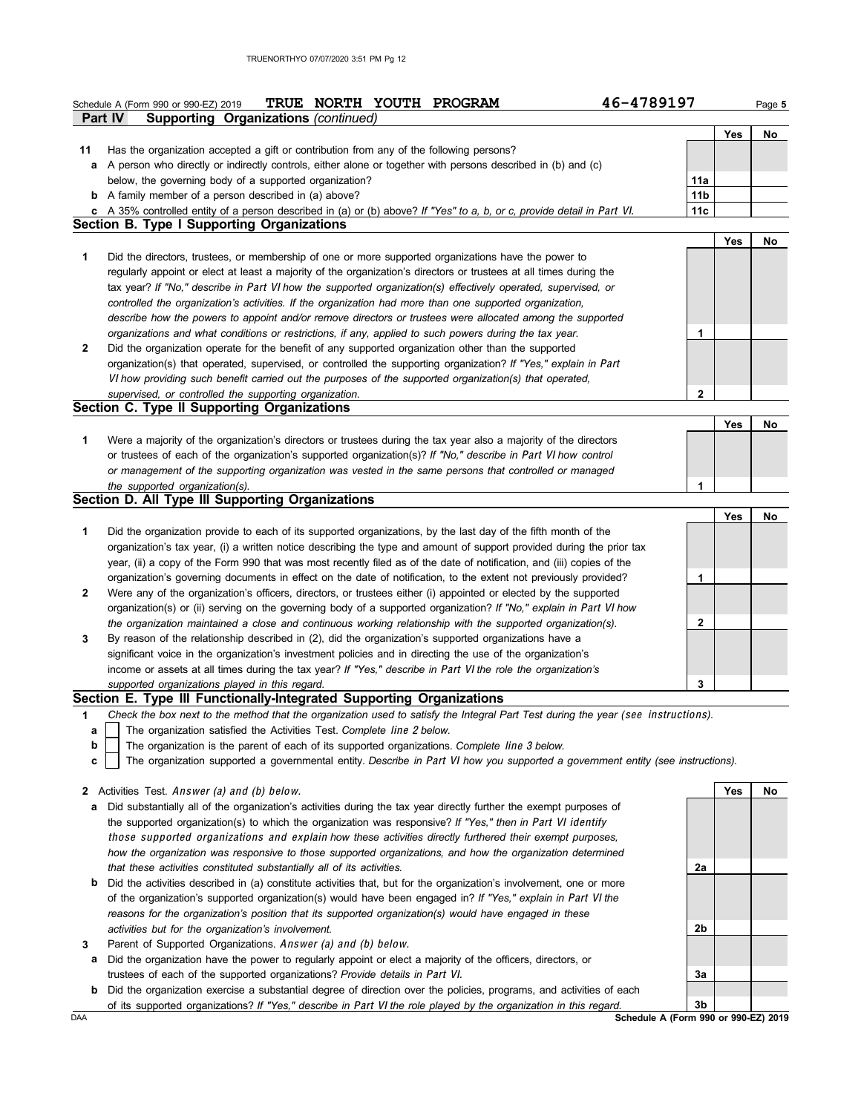|    | 46-4789197<br>TRUE NORTH YOUTH PROGRAM<br>Schedule A (Form 990 or 990-EZ) 2019                                                                                                                                                             |                 |     | Page 5 |
|----|--------------------------------------------------------------------------------------------------------------------------------------------------------------------------------------------------------------------------------------------|-----------------|-----|--------|
|    | <b>Part IV</b><br>Supporting Organizations (continued)                                                                                                                                                                                     |                 |     |        |
| 11 |                                                                                                                                                                                                                                            |                 | Yes | No     |
| а  | Has the organization accepted a gift or contribution from any of the following persons?<br>A person who directly or indirectly controls, either alone or together with persons described in (b) and (c)                                    |                 |     |        |
|    | below, the governing body of a supported organization?                                                                                                                                                                                     | 11a             |     |        |
|    | <b>b</b> A family member of a person described in (a) above?                                                                                                                                                                               | 11 <sub>b</sub> |     |        |
|    | c A 35% controlled entity of a person described in (a) or (b) above? If "Yes" to a, b, or c, provide detail in Part VI.                                                                                                                    | 11c             |     |        |
|    | <b>Section B. Type I Supporting Organizations</b>                                                                                                                                                                                          |                 |     |        |
|    |                                                                                                                                                                                                                                            |                 | Yes | No     |
| 1  | Did the directors, trustees, or membership of one or more supported organizations have the power to                                                                                                                                        |                 |     |        |
|    | regularly appoint or elect at least a majority of the organization's directors or trustees at all times during the                                                                                                                         |                 |     |        |
|    | tax year? If "No," describe in Part VI how the supported organization(s) effectively operated, supervised, or                                                                                                                              |                 |     |        |
|    | controlled the organization's activities. If the organization had more than one supported organization,                                                                                                                                    |                 |     |        |
|    | describe how the powers to appoint and/or remove directors or trustees were allocated among the supported                                                                                                                                  |                 |     |        |
| 2  | organizations and what conditions or restrictions, if any, applied to such powers during the tax year.<br>Did the organization operate for the benefit of any supported organization other than the supported                              | 1               |     |        |
|    | organization(s) that operated, supervised, or controlled the supporting organization? If "Yes," explain in Part                                                                                                                            |                 |     |        |
|    | VI how providing such benefit carried out the purposes of the supported organization(s) that operated,                                                                                                                                     |                 |     |        |
|    | supervised, or controlled the supporting organization.                                                                                                                                                                                     | $\mathbf{2}$    |     |        |
|    | Section C. Type II Supporting Organizations                                                                                                                                                                                                |                 |     |        |
|    |                                                                                                                                                                                                                                            |                 | Yes | No     |
| 1  | Were a majority of the organization's directors or trustees during the tax year also a majority of the directors                                                                                                                           |                 |     |        |
|    | or trustees of each of the organization's supported organization(s)? If "No," describe in Part VI how control                                                                                                                              |                 |     |        |
|    | or management of the supporting organization was vested in the same persons that controlled or managed                                                                                                                                     |                 |     |        |
|    | the supported organization(s).                                                                                                                                                                                                             | 1               |     |        |
|    | Section D. All Type III Supporting Organizations                                                                                                                                                                                           |                 |     |        |
|    |                                                                                                                                                                                                                                            |                 | Yes | No     |
| 1  | Did the organization provide to each of its supported organizations, by the last day of the fifth month of the                                                                                                                             |                 |     |        |
|    | organization's tax year, (i) a written notice describing the type and amount of support provided during the prior tax                                                                                                                      |                 |     |        |
|    | year, (ii) a copy of the Form 990 that was most recently filed as of the date of notification, and (iii) copies of the<br>organization's governing documents in effect on the date of notification, to the extent not previously provided? |                 |     |        |
| 2  | Were any of the organization's officers, directors, or trustees either (i) appointed or elected by the supported                                                                                                                           | 1               |     |        |
|    | organization(s) or (ii) serving on the governing body of a supported organization? If "No," explain in Part VI how                                                                                                                         |                 |     |        |
|    | the organization maintained a close and continuous working relationship with the supported organization(s).                                                                                                                                | $\mathbf{2}$    |     |        |
| 3  | By reason of the relationship described in (2), did the organization's supported organizations have a                                                                                                                                      |                 |     |        |
|    | significant voice in the organization's investment policies and in directing the use of the organization's                                                                                                                                 |                 |     |        |
|    | income or assets at all times during the tax year? If "Yes," describe in Part VI the role the organization's                                                                                                                               |                 |     |        |
|    | supported organizations played in this regard.                                                                                                                                                                                             | 3               |     |        |
|    | Section E. Type III Functionally-Integrated Supporting Organizations                                                                                                                                                                       |                 |     |        |
| 1  | Check the box next to the method that the organization used to satisfy the Integral Part Test during the year (see instructions).                                                                                                          |                 |     |        |
| a  | The organization satisfied the Activities Test. Complete line 2 below.                                                                                                                                                                     |                 |     |        |
| b  | The organization is the parent of each of its supported organizations. Complete line 3 below.                                                                                                                                              |                 |     |        |
| c  | The organization supported a governmental entity. Describe in Part VI how you supported a government entity (see instructions).                                                                                                            |                 |     |        |
|    | <b>2</b> Activities Test. Answer (a) and (b) below.                                                                                                                                                                                        |                 | Yes | No     |
| a  | Did substantially all of the organization's activities during the tax year directly further the exempt purposes of                                                                                                                         |                 |     |        |
|    | the supported organization(s) to which the organization was responsive? If "Yes," then in Part VI identify                                                                                                                                 |                 |     |        |
|    | those supported organizations and explain how these activities directly furthered their exempt purposes,                                                                                                                                   |                 |     |        |
|    | how the organization was responsive to those supported organizations, and how the organization determined                                                                                                                                  |                 |     |        |
|    | that these activities constituted substantially all of its activities.                                                                                                                                                                     | 2a              |     |        |
| b  | Did the activities described in (a) constitute activities that, but for the organization's involvement, one or more                                                                                                                        |                 |     |        |
|    | of the organization's supported organization(s) would have been engaged in? If "Yes," explain in Part VI the                                                                                                                               |                 |     |        |
|    | reasons for the organization's position that its supported organization(s) would have engaged in these                                                                                                                                     |                 |     |        |
|    | activities but for the organization's involvement.                                                                                                                                                                                         | 2b              |     |        |
| 3  | Parent of Supported Organizations. Answer (a) and (b) below.                                                                                                                                                                               |                 |     |        |
| а  | Did the organization have the power to regularly appoint or elect a majority of the officers, directors, or                                                                                                                                |                 |     |        |
|    | trustees of each of the supported organizations? Provide details in Part VI.                                                                                                                                                               | 3a              |     |        |
|    | <b>b</b> Did the organization exercise a substantial degree of direction over the policies, programs, and activities of each                                                                                                               |                 |     |        |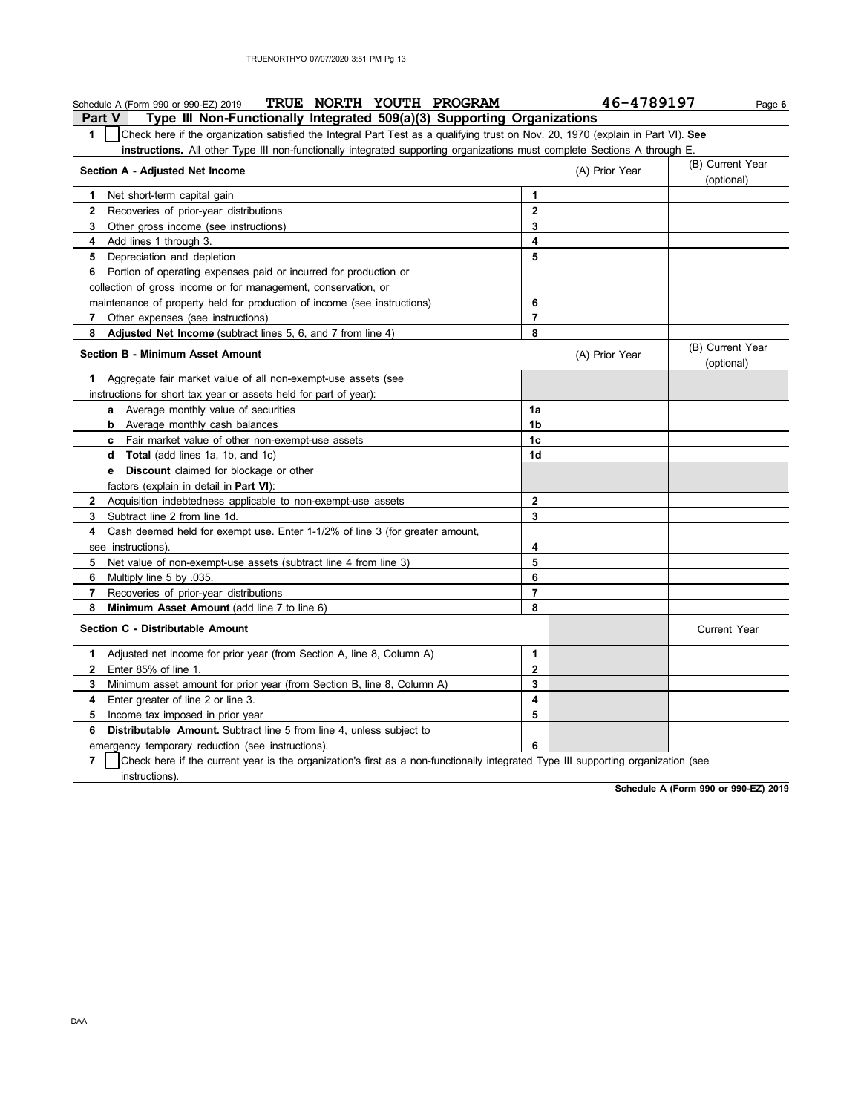| TRUE NORTH YOUTH PROGRAM<br>Schedule A (Form 990 or 990-EZ) 2019                                                                                    |                | 46-4789197     | Page 6                         |
|-----------------------------------------------------------------------------------------------------------------------------------------------------|----------------|----------------|--------------------------------|
| <b>Part V</b><br>Type III Non-Functionally Integrated 509(a)(3) Supporting Organizations                                                            |                |                |                                |
| 1<br>Check here if the organization satisfied the Integral Part Test as a qualifying trust on Nov. 20, 1970 (explain in Part VI). See               |                |                |                                |
| <b>instructions.</b> All other Type III non-functionally integrated supporting organizations must complete Sections A through E.                    |                |                |                                |
| Section A - Adjusted Net Income                                                                                                                     |                | (A) Prior Year | (B) Current Year<br>(optional) |
| Net short-term capital gain<br>1                                                                                                                    | 1              |                |                                |
| $\mathbf{2}$<br>Recoveries of prior-year distributions                                                                                              | $\mathbf{2}$   |                |                                |
| 3<br>Other gross income (see instructions)                                                                                                          | 3              |                |                                |
| Add lines 1 through 3.<br>4                                                                                                                         | 4              |                |                                |
| 5<br>Depreciation and depletion                                                                                                                     | 5              |                |                                |
| 6 Portion of operating expenses paid or incurred for production or                                                                                  |                |                |                                |
| collection of gross income or for management, conservation, or                                                                                      |                |                |                                |
| maintenance of property held for production of income (see instructions)                                                                            | 6              |                |                                |
| $\overline{7}$<br>Other expenses (see instructions)                                                                                                 | $\overline{7}$ |                |                                |
| 8<br>Adjusted Net Income (subtract lines 5, 6, and 7 from line 4)                                                                                   | 8              |                |                                |
| <b>Section B - Minimum Asset Amount</b>                                                                                                             |                | (A) Prior Year | (B) Current Year<br>(optional) |
| Aggregate fair market value of all non-exempt-use assets (see<br>1.                                                                                 |                |                |                                |
| instructions for short tax year or assets held for part of year):                                                                                   |                |                |                                |
| a Average monthly value of securities                                                                                                               | 1a             |                |                                |
| <b>b</b> Average monthly cash balances                                                                                                              | 1 <sub>b</sub> |                |                                |
| c Fair market value of other non-exempt-use assets                                                                                                  | 1c             |                |                                |
| d Total (add lines 1a, 1b, and 1c)                                                                                                                  | 1d             |                |                                |
| <b>e</b> Discount claimed for blockage or other                                                                                                     |                |                |                                |
| factors (explain in detail in Part VI):                                                                                                             |                |                |                                |
| Acquisition indebtedness applicable to non-exempt-use assets<br>$\mathbf{2}$                                                                        | $\mathbf{2}$   |                |                                |
| Subtract line 2 from line 1d.<br>3                                                                                                                  | 3              |                |                                |
| Cash deemed held for exempt use. Enter 1-1/2% of line 3 (for greater amount,<br>4                                                                   |                |                |                                |
| see instructions)                                                                                                                                   | 4              |                |                                |
| 5<br>Net value of non-exempt-use assets (subtract line 4 from line 3)                                                                               | 5              |                |                                |
| 6<br>Multiply line 5 by .035.                                                                                                                       | 6              |                |                                |
| 7<br>Recoveries of prior-year distributions                                                                                                         | $\overline{7}$ |                |                                |
| 8<br>Minimum Asset Amount (add line 7 to line 6)                                                                                                    | 8              |                |                                |
| Section C - Distributable Amount                                                                                                                    |                |                | Current Year                   |
| Adjusted net income for prior year (from Section A, line 8, Column A)<br>1.                                                                         | 1              |                |                                |
| $\mathbf{2}$<br>Enter 85% of line 1.                                                                                                                | $\mathbf{2}$   |                |                                |
| 3<br>Minimum asset amount for prior year (from Section B, line 8, Column A)                                                                         | 3              |                |                                |
| 4<br>Enter greater of line 2 or line 3.                                                                                                             | 4              |                |                                |
| 5<br>Income tax imposed in prior year                                                                                                               | 5              |                |                                |
| <b>Distributable Amount.</b> Subtract line 5 from line 4, unless subject to<br>6                                                                    |                |                |                                |
| emergency temporary reduction (see instructions).                                                                                                   | 6              |                |                                |
| $\overline{7}$<br>Check here if the current year is the organization's first as a non-functionally integrated Type III supporting organization (see |                |                |                                |
| instructions)                                                                                                                                       |                |                |                                |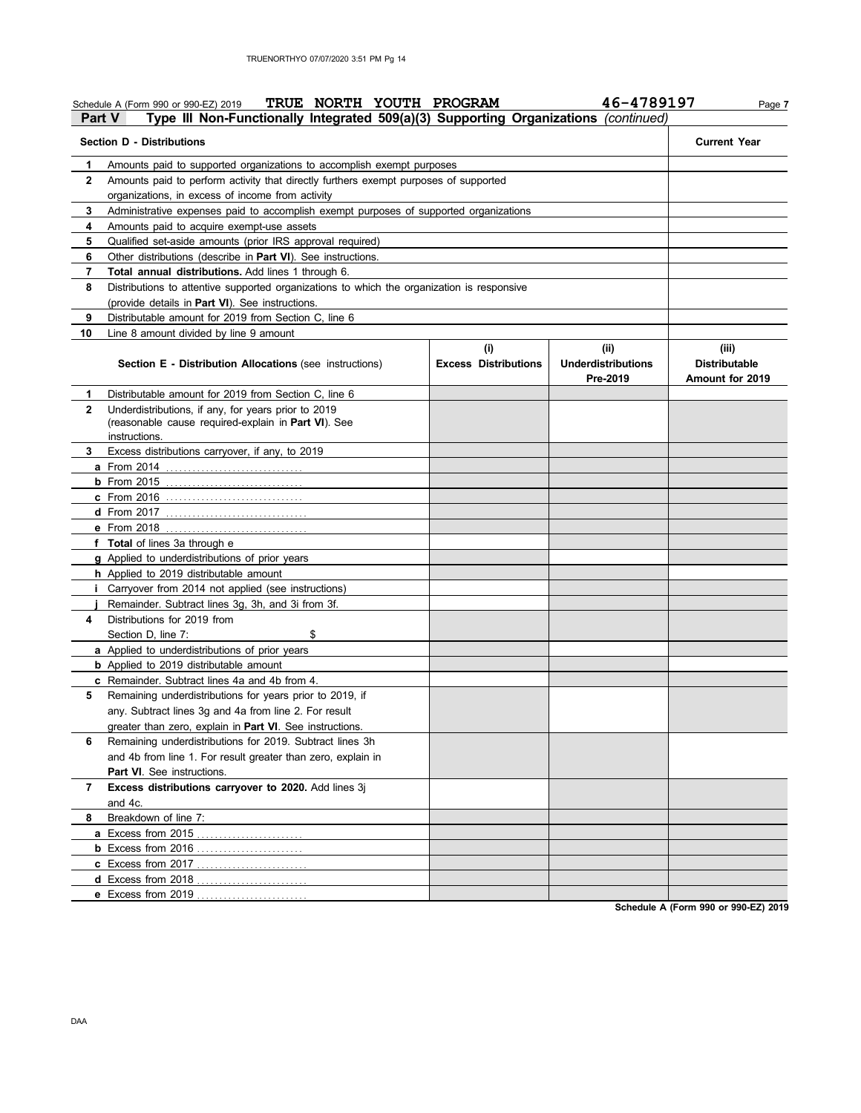|              | TRUE NORTH YOUTH PROGRAM<br>Schedule A (Form 990 or 990-EZ) 2019                                                 |                             | 46-4789197                            | Page 7                                  |
|--------------|------------------------------------------------------------------------------------------------------------------|-----------------------------|---------------------------------------|-----------------------------------------|
| Part V       | Type III Non-Functionally Integrated 509(a)(3) Supporting Organizations (continued)                              |                             |                                       |                                         |
|              | <b>Section D - Distributions</b>                                                                                 |                             |                                       | <b>Current Year</b>                     |
| 1            | Amounts paid to supported organizations to accomplish exempt purposes                                            |                             |                                       |                                         |
| $\mathbf{2}$ | Amounts paid to perform activity that directly furthers exempt purposes of supported                             |                             |                                       |                                         |
|              | organizations, in excess of income from activity                                                                 |                             |                                       |                                         |
| 3            | Administrative expenses paid to accomplish exempt purposes of supported organizations                            |                             |                                       |                                         |
| 4            | Amounts paid to acquire exempt-use assets                                                                        |                             |                                       |                                         |
| 5            | Qualified set-aside amounts (prior IRS approval required)                                                        |                             |                                       |                                         |
| 6            | Other distributions (describe in Part VI). See instructions.                                                     |                             |                                       |                                         |
| 7            | Total annual distributions. Add lines 1 through 6.                                                               |                             |                                       |                                         |
| 8            | Distributions to attentive supported organizations to which the organization is responsive                       |                             |                                       |                                         |
|              | (provide details in Part VI). See instructions.                                                                  |                             |                                       |                                         |
| 9            | Distributable amount for 2019 from Section C, line 6                                                             |                             |                                       |                                         |
| 10           | Line 8 amount divided by line 9 amount                                                                           |                             |                                       |                                         |
|              |                                                                                                                  | (i)                         | (ii)                                  | (iii)                                   |
|              | <b>Section E - Distribution Allocations (see instructions)</b>                                                   | <b>Excess Distributions</b> | <b>Underdistributions</b><br>Pre-2019 | <b>Distributable</b><br>Amount for 2019 |
| 1            | Distributable amount for 2019 from Section C, line 6                                                             |                             |                                       |                                         |
| $\mathbf{2}$ | Underdistributions, if any, for years prior to 2019                                                              |                             |                                       |                                         |
|              | (reasonable cause required-explain in Part VI). See                                                              |                             |                                       |                                         |
|              | instructions.                                                                                                    |                             |                                       |                                         |
| 3            | Excess distributions carryover, if any, to 2019                                                                  |                             |                                       |                                         |
|              |                                                                                                                  |                             |                                       |                                         |
|              |                                                                                                                  |                             |                                       |                                         |
|              | <b>c</b> From 2016                                                                                               |                             |                                       |                                         |
|              |                                                                                                                  |                             |                                       |                                         |
|              | e From 2018 <u></u>                                                                                              |                             |                                       |                                         |
|              | f Total of lines 3a through e                                                                                    |                             |                                       |                                         |
|              | <b>g</b> Applied to underdistributions of prior years                                                            |                             |                                       |                                         |
|              | h Applied to 2019 distributable amount                                                                           |                             |                                       |                                         |
|              | <i>i</i> Carryover from 2014 not applied (see instructions)<br>Remainder. Subtract lines 3g, 3h, and 3i from 3f. |                             |                                       |                                         |
| 4            | Distributions for 2019 from                                                                                      |                             |                                       |                                         |
|              | \$                                                                                                               |                             |                                       |                                         |
|              | Section D, line 7:                                                                                               |                             |                                       |                                         |
|              | <b>a</b> Applied to underdistributions of prior years<br><b>b</b> Applied to 2019 distributable amount           |                             |                                       |                                         |
|              | c Remainder. Subtract lines 4a and 4b from 4.                                                                    |                             |                                       |                                         |
| 5            | Remaining underdistributions for years prior to 2019, if                                                         |                             |                                       |                                         |
|              | any. Subtract lines 3g and 4a from line 2. For result                                                            |                             |                                       |                                         |
|              | greater than zero, explain in Part VI. See instructions.                                                         |                             |                                       |                                         |
| 6            | Remaining underdistributions for 2019. Subtract lines 3h                                                         |                             |                                       |                                         |
|              | and 4b from line 1. For result greater than zero, explain in                                                     |                             |                                       |                                         |
|              | <b>Part VI.</b> See instructions.                                                                                |                             |                                       |                                         |
| 7            | Excess distributions carryover to 2020. Add lines 3j                                                             |                             |                                       |                                         |
|              | and 4c.                                                                                                          |                             |                                       |                                         |
| 8            | Breakdown of line 7:                                                                                             |                             |                                       |                                         |
|              | a Excess from 2015<br>.                                                                                          |                             |                                       |                                         |
|              | <b>b</b> Excess from 2016                                                                                        |                             |                                       |                                         |
|              | c Excess from 2017                                                                                               |                             |                                       |                                         |
|              | d Excess from 2018                                                                                               |                             |                                       |                                         |
|              | e Excess from 2019                                                                                               |                             |                                       |                                         |
|              |                                                                                                                  |                             |                                       |                                         |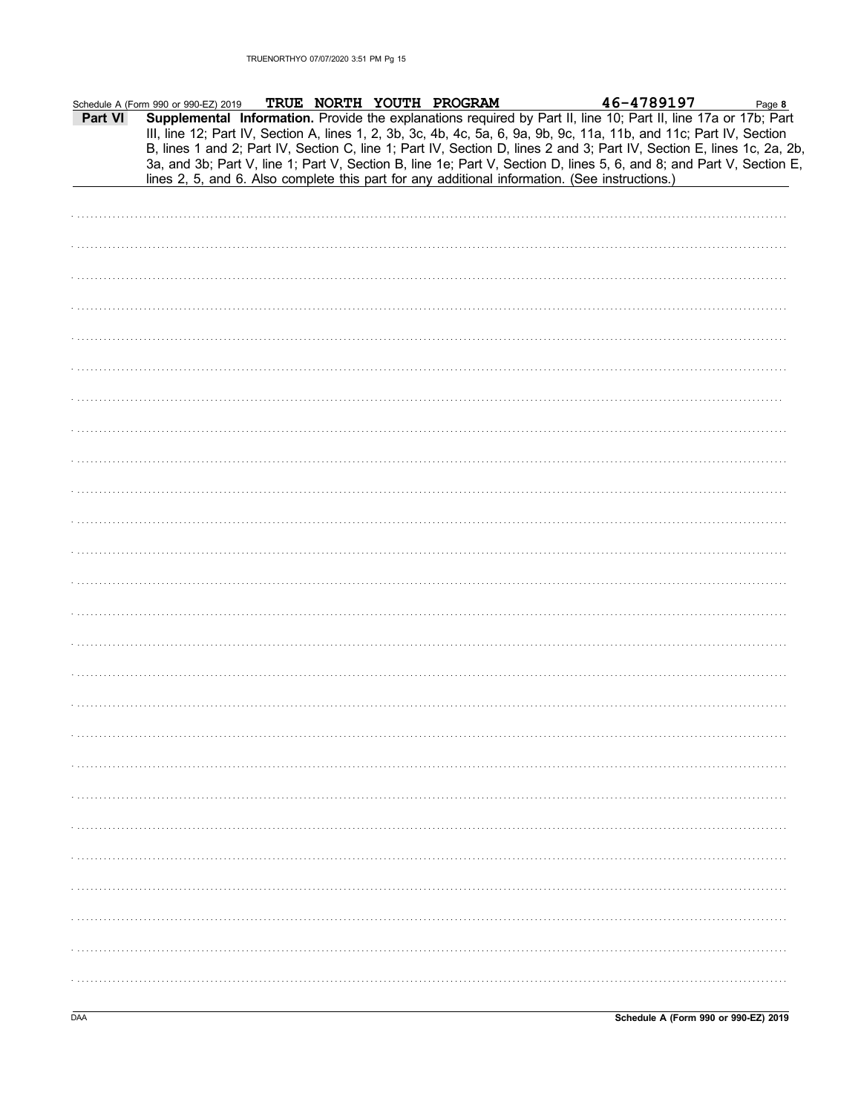|         | Schedule A (Form 990 or 990-EZ) 2019 |  | TRUE NORTH YOUTH PROGRAM |                                                                                                | 46-4789197                                                                                                                                                                                                                                                                                                                                                                                                                                                                                | Page 8 |
|---------|--------------------------------------|--|--------------------------|------------------------------------------------------------------------------------------------|-------------------------------------------------------------------------------------------------------------------------------------------------------------------------------------------------------------------------------------------------------------------------------------------------------------------------------------------------------------------------------------------------------------------------------------------------------------------------------------------|--------|
| Part VI |                                      |  |                          | lines 2, 5, and 6. Also complete this part for any additional information. (See instructions.) | Supplemental Information. Provide the explanations required by Part II, line 10; Part II, line 17a or 17b; Part<br>III, line 12; Part IV, Section A, lines 1, 2, 3b, 3c, 4b, 4c, 5a, 6, 9a, 9b, 9c, 11a, 11b, and 11c; Part IV, Section<br>B, lines 1 and 2; Part IV, Section C, line 1; Part IV, Section D, lines 2 and 3; Part IV, Section E, lines 1c, 2a, 2b,<br>3a, and 3b; Part V, line 1; Part V, Section B, line 1e; Part V, Section D, lines 5, 6, and 8; and Part V, Section E, |        |
|         |                                      |  |                          |                                                                                                |                                                                                                                                                                                                                                                                                                                                                                                                                                                                                           |        |
|         |                                      |  |                          |                                                                                                |                                                                                                                                                                                                                                                                                                                                                                                                                                                                                           |        |
|         |                                      |  |                          |                                                                                                |                                                                                                                                                                                                                                                                                                                                                                                                                                                                                           |        |
|         |                                      |  |                          |                                                                                                |                                                                                                                                                                                                                                                                                                                                                                                                                                                                                           |        |
|         |                                      |  |                          |                                                                                                |                                                                                                                                                                                                                                                                                                                                                                                                                                                                                           |        |
|         |                                      |  |                          |                                                                                                |                                                                                                                                                                                                                                                                                                                                                                                                                                                                                           |        |
|         |                                      |  |                          |                                                                                                |                                                                                                                                                                                                                                                                                                                                                                                                                                                                                           |        |
|         |                                      |  |                          |                                                                                                |                                                                                                                                                                                                                                                                                                                                                                                                                                                                                           |        |
|         |                                      |  |                          |                                                                                                |                                                                                                                                                                                                                                                                                                                                                                                                                                                                                           |        |
|         |                                      |  |                          |                                                                                                |                                                                                                                                                                                                                                                                                                                                                                                                                                                                                           |        |
|         |                                      |  |                          |                                                                                                |                                                                                                                                                                                                                                                                                                                                                                                                                                                                                           |        |
|         |                                      |  |                          |                                                                                                |                                                                                                                                                                                                                                                                                                                                                                                                                                                                                           |        |
|         |                                      |  |                          |                                                                                                |                                                                                                                                                                                                                                                                                                                                                                                                                                                                                           |        |
|         |                                      |  |                          |                                                                                                |                                                                                                                                                                                                                                                                                                                                                                                                                                                                                           |        |
|         |                                      |  |                          |                                                                                                |                                                                                                                                                                                                                                                                                                                                                                                                                                                                                           |        |
|         |                                      |  |                          |                                                                                                |                                                                                                                                                                                                                                                                                                                                                                                                                                                                                           |        |
|         |                                      |  |                          |                                                                                                |                                                                                                                                                                                                                                                                                                                                                                                                                                                                                           |        |
|         |                                      |  |                          |                                                                                                |                                                                                                                                                                                                                                                                                                                                                                                                                                                                                           |        |
|         |                                      |  |                          |                                                                                                |                                                                                                                                                                                                                                                                                                                                                                                                                                                                                           |        |
|         |                                      |  |                          |                                                                                                |                                                                                                                                                                                                                                                                                                                                                                                                                                                                                           |        |
|         |                                      |  |                          |                                                                                                |                                                                                                                                                                                                                                                                                                                                                                                                                                                                                           |        |
|         |                                      |  |                          |                                                                                                |                                                                                                                                                                                                                                                                                                                                                                                                                                                                                           |        |
|         |                                      |  |                          |                                                                                                |                                                                                                                                                                                                                                                                                                                                                                                                                                                                                           |        |
|         |                                      |  |                          |                                                                                                |                                                                                                                                                                                                                                                                                                                                                                                                                                                                                           |        |
|         |                                      |  |                          |                                                                                                |                                                                                                                                                                                                                                                                                                                                                                                                                                                                                           |        |
|         |                                      |  |                          |                                                                                                |                                                                                                                                                                                                                                                                                                                                                                                                                                                                                           |        |
|         |                                      |  |                          |                                                                                                |                                                                                                                                                                                                                                                                                                                                                                                                                                                                                           |        |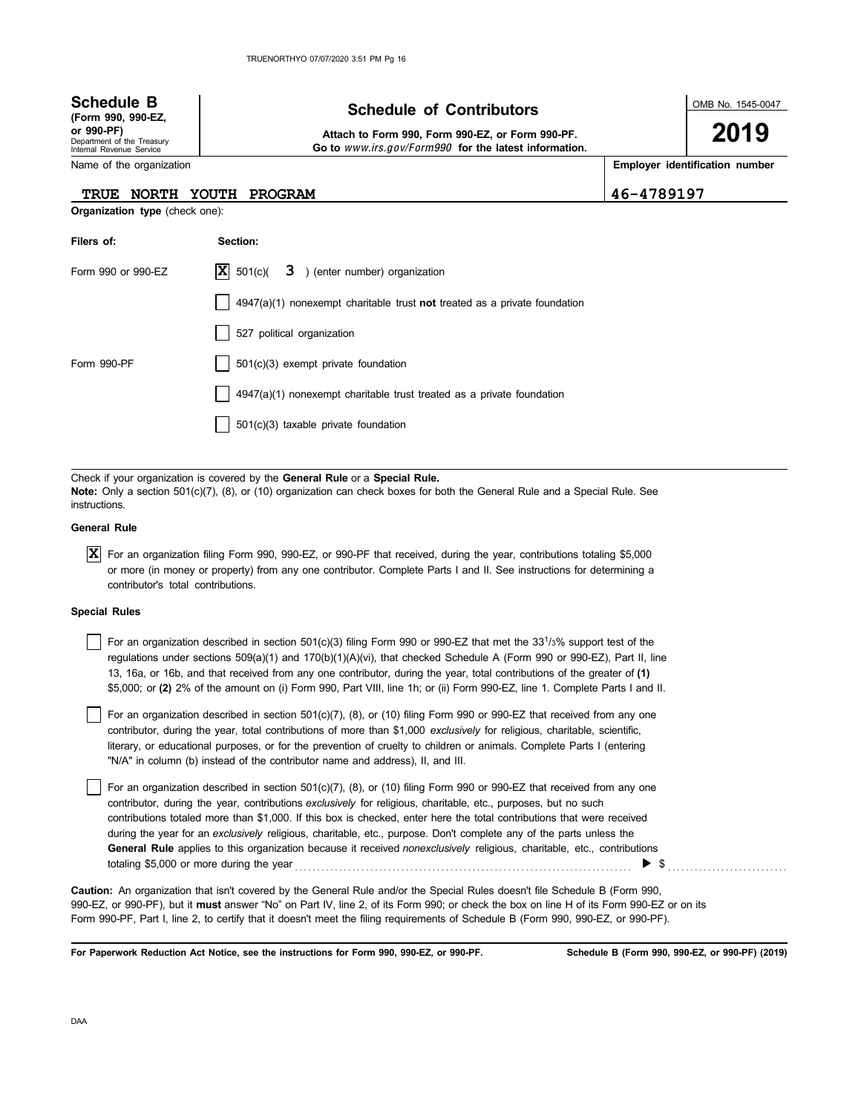| <b>Schedule B</b><br>(Form 990, 990-EZ,<br>or 990-PF)<br>Department of the Treasury<br>Internal Revenue Service | <b>Schedule of Contributors</b><br>Attach to Form 990, Form 990-EZ, or Form 990-PF.<br>Go to www.irs.gov/Form990 for the latest information. |            | OMB No. 1545-0047<br>2019      |
|-----------------------------------------------------------------------------------------------------------------|----------------------------------------------------------------------------------------------------------------------------------------------|------------|--------------------------------|
| Name of the organization                                                                                        |                                                                                                                                              |            | Employer identification number |
| NORTH YOUTH<br><b>TRUE</b>                                                                                      | PROGRAM                                                                                                                                      | 46-4789197 |                                |
| <b>Organization type (check one):</b>                                                                           |                                                                                                                                              |            |                                |
| Filers of:                                                                                                      | Section:                                                                                                                                     |            |                                |
| Form 990 or 990-EZ                                                                                              | $ \mathbf{X} $ 501(c)(<br>3 ) (enter number) organization                                                                                    |            |                                |
|                                                                                                                 | $4947(a)(1)$ nonexempt charitable trust not treated as a private foundation                                                                  |            |                                |
|                                                                                                                 | 527 political organization                                                                                                                   |            |                                |
| Form 990-PF                                                                                                     | 501(c)(3) exempt private foundation                                                                                                          |            |                                |
|                                                                                                                 | $4947(a)(1)$ nonexempt charitable trust treated as a private foundation                                                                      |            |                                |
|                                                                                                                 | $501(c)(3)$ taxable private foundation                                                                                                       |            |                                |

Check if your organization is covered by the **General Rule** or a **Special Rule. Note:** Only a section 501(c)(7), (8), or (10) organization can check boxes for both the General Rule and a Special Rule. See instructions.

## **General Rule**

For an organization filing Form 990, 990-EZ, or 990-PF that received, during the year, contributions totaling \$5,000 **X** or more (in money or property) from any one contributor. Complete Parts I and II. See instructions for determining a contributor's total contributions.

## **Special Rules**

| For an organization described in section 501(c)(3) filing Form 990 or 990-EZ that met the 33 <sup>1</sup> / <sub>3</sub> % support test of the |
|------------------------------------------------------------------------------------------------------------------------------------------------|
| regulations under sections 509(a)(1) and 170(b)(1)(A)(vi), that checked Schedule A (Form 990 or 990-EZ), Part II, line                         |
| 13, 16a, or 16b, and that received from any one contributor, during the year, total contributions of the greater of (1)                        |
| \$5,000; or (2) 2% of the amount on (i) Form 990, Part VIII, line 1h; or (ii) Form 990-EZ, line 1. Complete Parts I and II.                    |

literary, or educational purposes, or for the prevention of cruelty to children or animals. Complete Parts I (entering For an organization described in section 501(c)(7), (8), or (10) filing Form 990 or 990-EZ that received from any one contributor, during the year, total contributions of more than \$1,000 *exclusively* for religious, charitable, scientific, "N/A" in column (b) instead of the contributor name and address), II, and III.

For an organization described in section 501(c)(7), (8), or (10) filing Form 990 or 990-EZ that received from any one contributor, during the year, contributions *exclusively* for religious, charitable, etc., purposes, but no such contributions totaled more than \$1,000. If this box is checked, enter here the total contributions that were received during the year for an *exclusively* religious, charitable, etc., purpose. Don't complete any of the parts unless the **General Rule** applies to this organization because it received *nonexclusively* religious, charitable, etc., contributions totaling \$5,000 or more during the year . . . . . . . . . . . . . . . . . . . . . . . . . . . . . . . . . . . . . . . . . . . . . . . . . . . . . . . . . . . . . . . . . . . . . . . . . . . . \$ . . . . . . . . . . . . . . . . . . . . . . . . . . .

990-EZ, or 990-PF), but it **must** answer "No" on Part IV, line 2, of its Form 990; or check the box on line H of its Form 990-EZ or on its Form 990-PF, Part I, line 2, to certify that it doesn't meet the filing requirements of Schedule B (Form 990, 990-EZ, or 990-PF). **Caution:** An organization that isn't covered by the General Rule and/or the Special Rules doesn't file Schedule B (Form 990,

**For Paperwork Reduction Act Notice, see the instructions for Form 990, 990-EZ, or 990-PF.**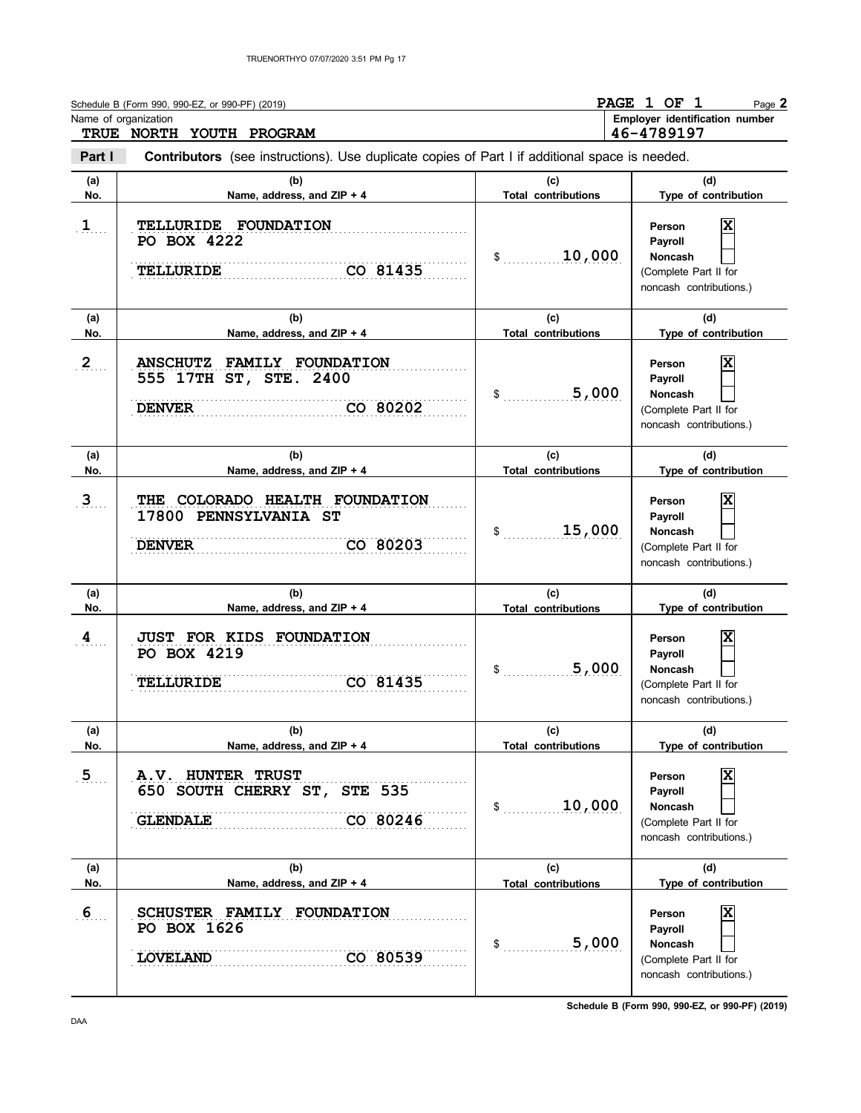|                       | Schedule B (Form 990, 990-EZ, or 990-PF) (2019)<br>Name of organization<br>TRUE NORTH YOUTH PROGRAM            |                                            | PAGE 1 OF 1<br>Page 2<br>Employer identification number<br>46-4789197                                         |
|-----------------------|----------------------------------------------------------------------------------------------------------------|--------------------------------------------|---------------------------------------------------------------------------------------------------------------|
| Part I                | <b>Contributors</b> (see instructions). Use duplicate copies of Part I if additional space is needed.          |                                            |                                                                                                               |
| (a)<br>No.            | (b)<br>Name, address, and ZIP + 4                                                                              | (c)<br><b>Total contributions</b>          | (d)<br>Type of contribution                                                                                   |
| $\mathbf{1}$          | TELLURIDE FOUNDATION<br>PO BOX 4222<br>CO 81435<br><b>TELLURIDE</b>                                            | 10,000<br>$\mathfrak s$                    | x<br>Person<br>Payroll<br>Noncash<br>(Complete Part II for<br>noncash contributions.)                         |
| (a)<br>No.            | (b)<br>Name, address, and ZIP + 4                                                                              | (c)<br><b>Total contributions</b>          | (d)<br>Type of contribution                                                                                   |
| 2                     | <b>FAMILY FOUNDATION</b><br><b>ANSCHUTZ</b><br>555 17TH ST, STE. 2400<br>CO 80202<br><b>DENVER</b>             | 5,000<br>\$                                | x<br>Person<br>Payroll<br><b>Noncash</b><br>(Complete Part II for<br>noncash contributions.)                  |
| (a)<br>No.            | (b)<br>Name, address, and ZIP + 4                                                                              | (c)<br><b>Total contributions</b>          | (d)<br>Type of contribution                                                                                   |
| 3 <sub>1</sub>        | THE COLORADO HEALTH FOUNDATION<br>17800 PENNSYLVANIA ST<br>CO 80203<br><b>DENVER</b>                           | 15,000<br>\$                               | X<br>Person<br>Payroll<br>Noncash<br>(Complete Part II for<br>noncash contributions.)                         |
| (a)<br>No.            | (b)<br>Name, address, and ZIP + 4                                                                              | (c)<br><b>Total contributions</b>          | (d)<br>Type of contribution                                                                                   |
| $\overline{4}$        | JUST FOR KIDS FOUNDATION<br><b>PO BOX 4219</b><br><b>TELLURIDE</b><br>CO 81435                                 | 5,000<br>$\mathsf{\$}$                     | Person<br>Payroll<br>Noncash<br>(Complete Part II for<br>noncash contributions.)                              |
| (a)                   | (b)                                                                                                            | (c)                                        | (d)                                                                                                           |
| No.<br>5 <sub>1</sub> | Name, address, and ZIP + 4<br>A.V. HUNTER TRUST<br>650 SOUTH CHERRY ST, STE 535<br>CO 80246<br><b>GLENDALE</b> | <b>Total contributions</b><br>10,000<br>\$ | Type of contribution<br>X<br>Person<br>Payroll<br>Noncash<br>(Complete Part II for<br>noncash contributions.) |
| (a)<br>No.            | (b)<br>Name, address, and ZIP + 4                                                                              | (c)<br><b>Total contributions</b>          | (d)<br>Type of contribution                                                                                   |
| 6 <sub>1</sub>        | SCHUSTER FAMILY FOUNDATION<br>PO BOX 1626<br><b>LOVELAND</b><br>CO 80539                                       | 5,000<br>\$                                | $\overline{\textbf{x}}$<br>Person<br>Payroll<br>Noncash<br>(Complete Part II for<br>noncash contributions.)   |

**Schedule B (Form 990, 990-EZ, or 990-PF) (2019)**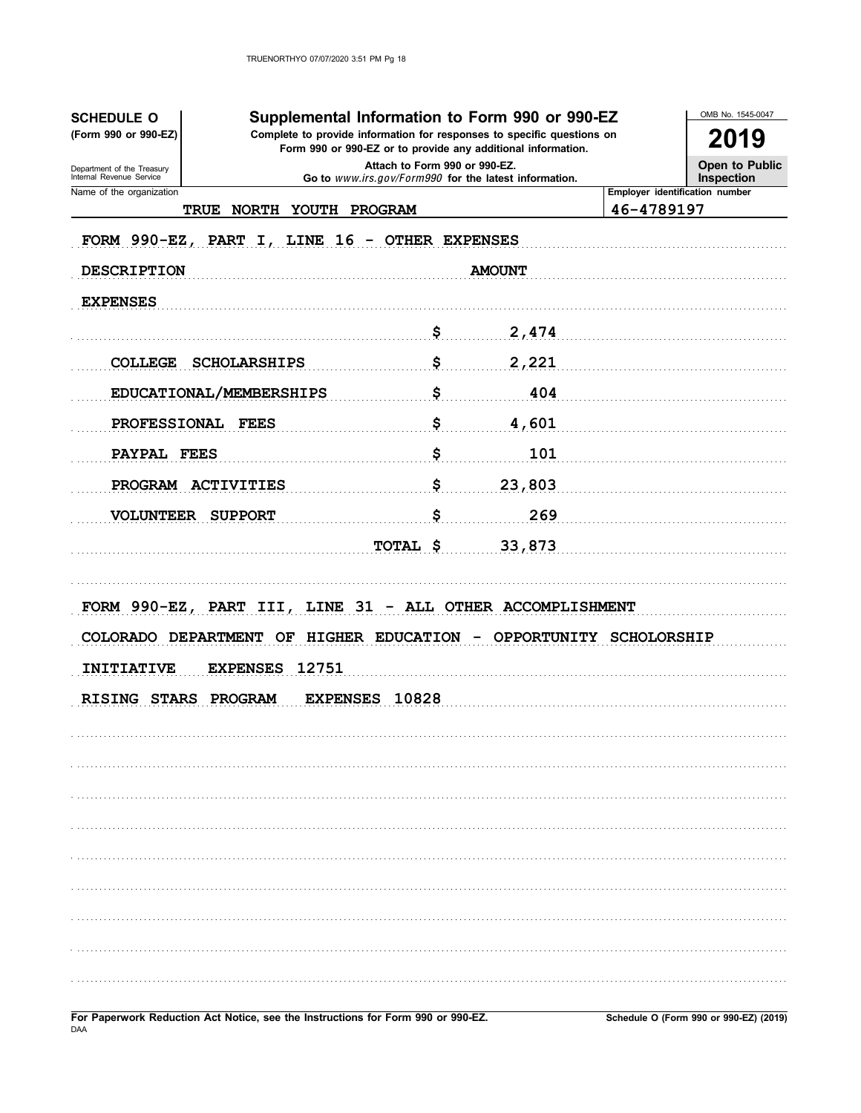| <b>SCHEDULE O</b><br>(Form 990 or 990-EZ)              |                                                           |                                                                                        | Supplemental Information to Form 990 or 990-EZ<br>Complete to provide information for responses to specific questions on |                    | OMB No. 1545-0047                     |
|--------------------------------------------------------|-----------------------------------------------------------|----------------------------------------------------------------------------------------|--------------------------------------------------------------------------------------------------------------------------|--------------------|---------------------------------------|
|                                                        |                                                           | Form 990 or 990-EZ or to provide any additional information.                           |                                                                                                                          |                    | 2019                                  |
| Department of the Treasury<br>Internal Revenue Service |                                                           | Attach to Form 990 or 990-EZ.<br>Go to www.irs.gov/Form990 for the latest information. |                                                                                                                          |                    | Open to Public<br>Inspection          |
| Name of the organization<br><b>TRUE</b>                | <b>NORTH</b><br><b>YOUTH</b>                              | PROGRAM                                                                                |                                                                                                                          | 46-4789197         | <b>Employer identification number</b> |
| FORM 990-EZ, PART $I$ ,                                |                                                           | LINE 16 - OTHER EXPENSES                                                               |                                                                                                                          |                    |                                       |
| <b>DESCRIPTION</b>                                     |                                                           |                                                                                        | <b>AMOUNT</b>                                                                                                            |                    |                                       |
| <b>EXPENSES</b>                                        |                                                           |                                                                                        |                                                                                                                          |                    |                                       |
|                                                        |                                                           | \$                                                                                     | 2,474                                                                                                                    |                    |                                       |
| <b>COLLEGE</b>                                         | <b>SCHOLARSHIPS</b>                                       | \$                                                                                     | 2,221                                                                                                                    |                    |                                       |
|                                                        |                                                           |                                                                                        |                                                                                                                          |                    |                                       |
|                                                        | EDUCATIONAL/MEMBERSHIPS                                   | \$                                                                                     | 404                                                                                                                      |                    |                                       |
| PROFESSIONAL FEES                                      |                                                           | \$                                                                                     | 4,601                                                                                                                    |                    |                                       |
| PAYPAL FEES                                            |                                                           | \$                                                                                     | 101                                                                                                                      |                    |                                       |
| PROGRAM ACTIVITIES                                     |                                                           | \$                                                                                     | 23,803                                                                                                                   |                    |                                       |
| <b>VOLUNTEER</b>                                       | <b>SUPPORT</b>                                            | \$                                                                                     | 269                                                                                                                      |                    |                                       |
|                                                        |                                                           | TOTAL \$                                                                               | 33,873                                                                                                                   |                    |                                       |
|                                                        |                                                           |                                                                                        |                                                                                                                          |                    |                                       |
|                                                        | FORM 990-EZ, PART III, LINE 31 - ALL OTHER ACCOMPLISHMENT |                                                                                        |                                                                                                                          |                    |                                       |
| COLORADO DEPARTMENT                                    | OF                                                        | HIGHER EDUCATION                                                                       | <b>OPPORTUNITY</b>                                                                                                       | <b>SCHOLORSHIP</b> |                                       |
| <b>INITIATIVE</b>                                      | <b>EXPENSES</b><br>12751                                  |                                                                                        |                                                                                                                          |                    |                                       |
| <b>RISING STARS</b>                                    | <b>EXPENSES</b><br>PROGRAM                                | 10828                                                                                  |                                                                                                                          |                    |                                       |
|                                                        |                                                           |                                                                                        |                                                                                                                          |                    |                                       |
|                                                        |                                                           |                                                                                        |                                                                                                                          |                    |                                       |
|                                                        |                                                           |                                                                                        |                                                                                                                          |                    |                                       |
|                                                        |                                                           |                                                                                        |                                                                                                                          |                    |                                       |
|                                                        |                                                           |                                                                                        |                                                                                                                          |                    |                                       |
|                                                        |                                                           |                                                                                        |                                                                                                                          |                    |                                       |
|                                                        |                                                           |                                                                                        |                                                                                                                          |                    |                                       |
|                                                        |                                                           |                                                                                        |                                                                                                                          |                    |                                       |
|                                                        |                                                           |                                                                                        |                                                                                                                          |                    |                                       |
|                                                        |                                                           |                                                                                        |                                                                                                                          |                    |                                       |
|                                                        |                                                           |                                                                                        |                                                                                                                          |                    |                                       |

For Paperwork Reduction Act Notice, see the Instructions for Form 990 or 990-EZ. DAA

Schedule O (Form 990 or 990-EZ) (2019)